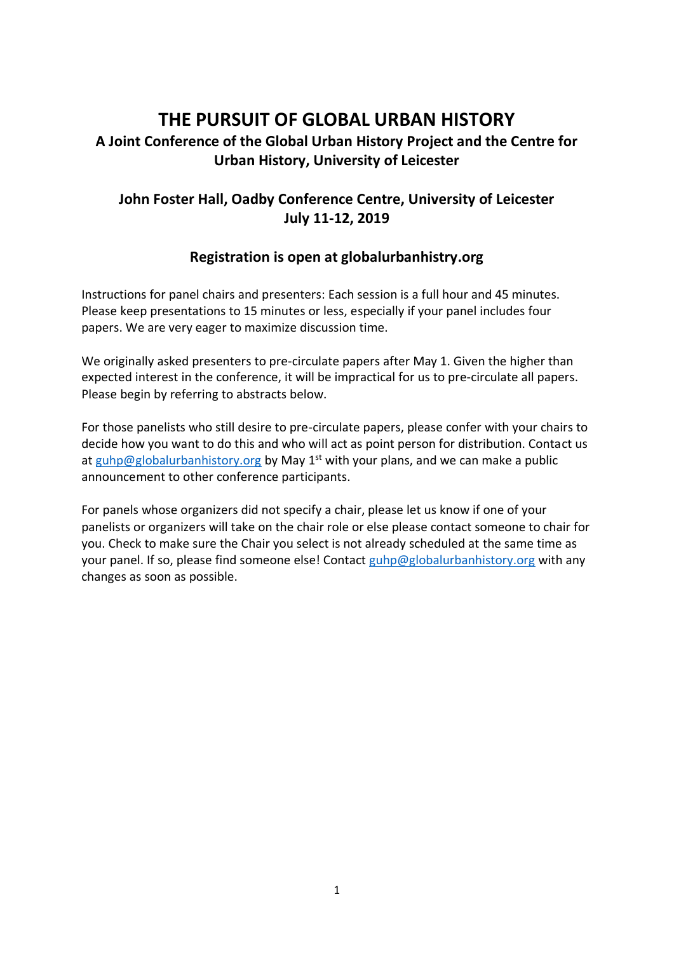# **THE PURSUIT OF GLOBAL URBAN HISTORY**

# **A Joint Conference of the Global Urban History Project and the Centre for Urban History, University of Leicester**

# **John Foster Hall, Oadby Conference Centre, University of Leicester July 11-12, 2019**

## **Registration is open at globalurbanhistry.org**

Instructions for panel chairs and presenters: Each session is a full hour and 45 minutes. Please keep presentations to 15 minutes or less, especially if your panel includes four papers. We are very eager to maximize discussion time.

We originally asked presenters to pre-circulate papers after May 1. Given the higher than expected interest in the conference, it will be impractical for us to pre-circulate all papers. Please begin by referring to abstracts below.

For those panelists who still desire to pre-circulate papers, please confer with your chairs to decide how you want to do this and who will act as point person for distribution. Contact us at [guhp@globalurbanhistory.org](mailto:guhp@globalurbanhistory.org) by May 1<sup>st</sup> with your plans, and we can make a public announcement to other conference participants.

For panels whose organizers did not specify a chair, please let us know if one of your panelists or organizers will take on the chair role or else please contact someone to chair for you. Check to make sure the Chair you select is not already scheduled at the same time as your panel. If so, please find someone else! Contact [guhp@globalurbanhistory.org](mailto:guhp@globalurbanhistory.org) with any changes as soon as possible.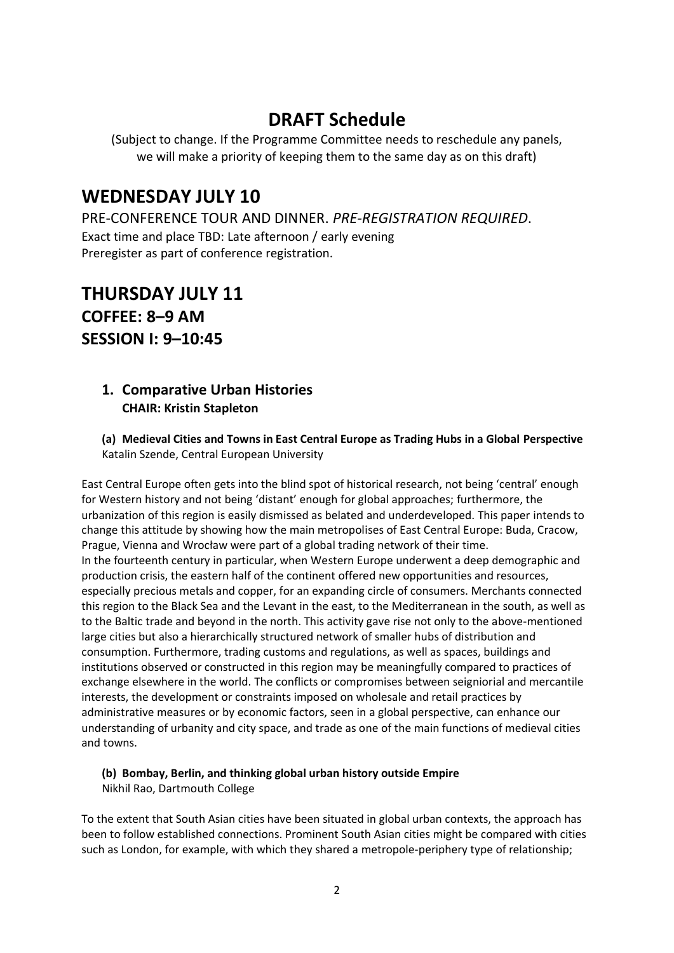# **DRAFT Schedule**

(Subject to change. If the Programme Committee needs to reschedule any panels, we will make a priority of keeping them to the same day as on this draft)

# **WEDNESDAY JULY 10**

PRE-CONFERENCE TOUR AND DINNER. *PRE-REGISTRATION REQUIRED*. Exact time and place TBD: Late afternoon / early evening Preregister as part of conference registration.

# **THURSDAY JULY 11 COFFEE: 8–9 AM SESSION I: 9–10:45**

## **1. Comparative Urban Histories CHAIR: Kristin Stapleton**

**(a) Medieval Cities and Towns in East Central Europe as Trading Hubs in a Global Perspective** Katalin Szende, Central European University

East Central Europe often gets into the blind spot of historical research, not being 'central' enough for Western history and not being 'distant' enough for global approaches; furthermore, the urbanization of this region is easily dismissed as belated and underdeveloped. This paper intends to change this attitude by showing how the main metropolises of East Central Europe: Buda, Cracow, Prague, Vienna and Wrocław were part of a global trading network of their time. In the fourteenth century in particular, when Western Europe underwent a deep demographic and production crisis, the eastern half of the continent offered new opportunities and resources, especially precious metals and copper, for an expanding circle of consumers. Merchants connected this region to the Black Sea and the Levant in the east, to the Mediterranean in the south, as well as to the Baltic trade and beyond in the north. This activity gave rise not only to the above-mentioned large cities but also a hierarchically structured network of smaller hubs of distribution and consumption. Furthermore, trading customs and regulations, as well as spaces, buildings and institutions observed or constructed in this region may be meaningfully compared to practices of exchange elsewhere in the world. The conflicts or compromises between seigniorial and mercantile interests, the development or constraints imposed on wholesale and retail practices by administrative measures or by economic factors, seen in a global perspective, can enhance our understanding of urbanity and city space, and trade as one of the main functions of medieval cities and towns.

# **(b) Bombay, Berlin, and thinking global urban history outside Empire**

Nikhil Rao, Dartmouth College

To the extent that South Asian cities have been situated in global urban contexts, the approach has been to follow established connections. Prominent South Asian cities might be compared with cities such as London, for example, with which they shared a metropole-periphery type of relationship;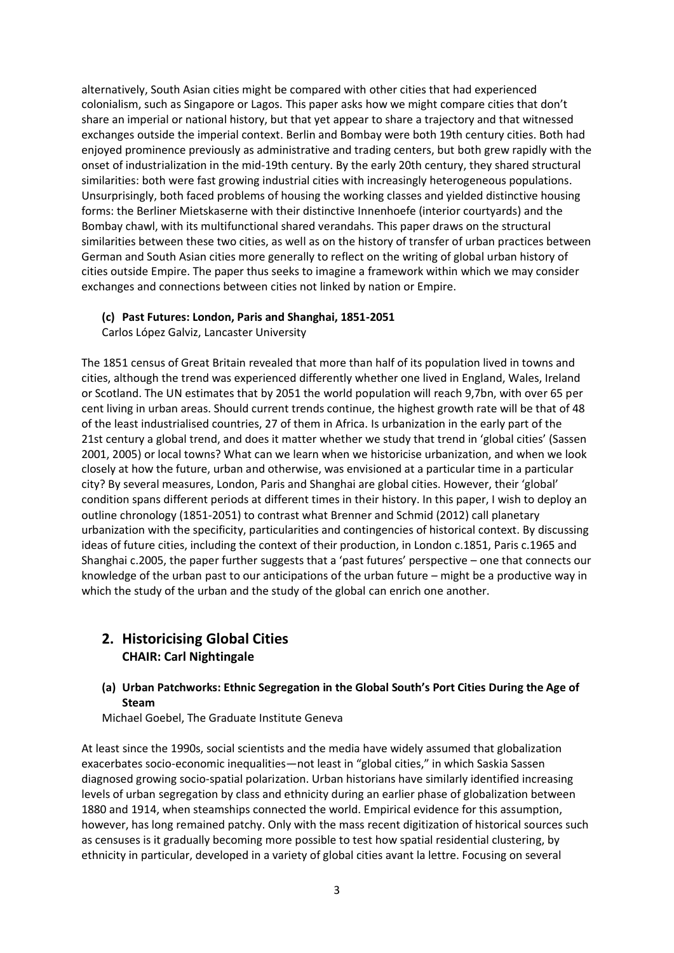alternatively, South Asian cities might be compared with other cities that had experienced colonialism, such as Singapore or Lagos. This paper asks how we might compare cities that don't share an imperial or national history, but that yet appear to share a trajectory and that witnessed exchanges outside the imperial context. Berlin and Bombay were both 19th century cities. Both had enjoyed prominence previously as administrative and trading centers, but both grew rapidly with the onset of industrialization in the mid-19th century. By the early 20th century, they shared structural similarities: both were fast growing industrial cities with increasingly heterogeneous populations. Unsurprisingly, both faced problems of housing the working classes and yielded distinctive housing forms: the Berliner Mietskaserne with their distinctive Innenhoefe (interior courtyards) and the Bombay chawl, with its multifunctional shared verandahs. This paper draws on the structural similarities between these two cities, as well as on the history of transfer of urban practices between German and South Asian cities more generally to reflect on the writing of global urban history of cities outside Empire. The paper thus seeks to imagine a framework within which we may consider exchanges and connections between cities not linked by nation or Empire.

#### **(c) Past Futures: London, Paris and Shanghai, 1851-2051**

Carlos López Galviz, Lancaster University

The 1851 census of Great Britain revealed that more than half of its population lived in towns and cities, although the trend was experienced differently whether one lived in England, Wales, Ireland or Scotland. The UN estimates that by 2051 the world population will reach 9,7bn, with over 65 per cent living in urban areas. Should current trends continue, the highest growth rate will be that of 48 of the least industrialised countries, 27 of them in Africa. Is urbanization in the early part of the 21st century a global trend, and does it matter whether we study that trend in 'global cities' (Sassen 2001, 2005) or local towns? What can we learn when we historicise urbanization, and when we look closely at how the future, urban and otherwise, was envisioned at a particular time in a particular city? By several measures, London, Paris and Shanghai are global cities. However, their 'global' condition spans different periods at different times in their history. In this paper, I wish to deploy an outline chronology (1851-2051) to contrast what Brenner and Schmid (2012) call planetary urbanization with the specificity, particularities and contingencies of historical context. By discussing ideas of future cities, including the context of their production, in London c.1851, Paris c.1965 and Shanghai c.2005, the paper further suggests that a 'past futures' perspective – one that connects our knowledge of the urban past to our anticipations of the urban future – might be a productive way in which the study of the urban and the study of the global can enrich one another.

## **2. Historicising Global Cities CHAIR: Carl Nightingale**

**(a) Urban Patchworks: Ethnic Segregation in the Global South's Port Cities During the Age of Steam**

Michael Goebel, The Graduate Institute Geneva

At least since the 1990s, social scientists and the media have widely assumed that globalization exacerbates socio-economic inequalities—not least in "global cities," in which Saskia Sassen diagnosed growing socio-spatial polarization. Urban historians have similarly identified increasing levels of urban segregation by class and ethnicity during an earlier phase of globalization between 1880 and 1914, when steamships connected the world. Empirical evidence for this assumption, however, has long remained patchy. Only with the mass recent digitization of historical sources such as censuses is it gradually becoming more possible to test how spatial residential clustering, by ethnicity in particular, developed in a variety of global cities avant la lettre. Focusing on several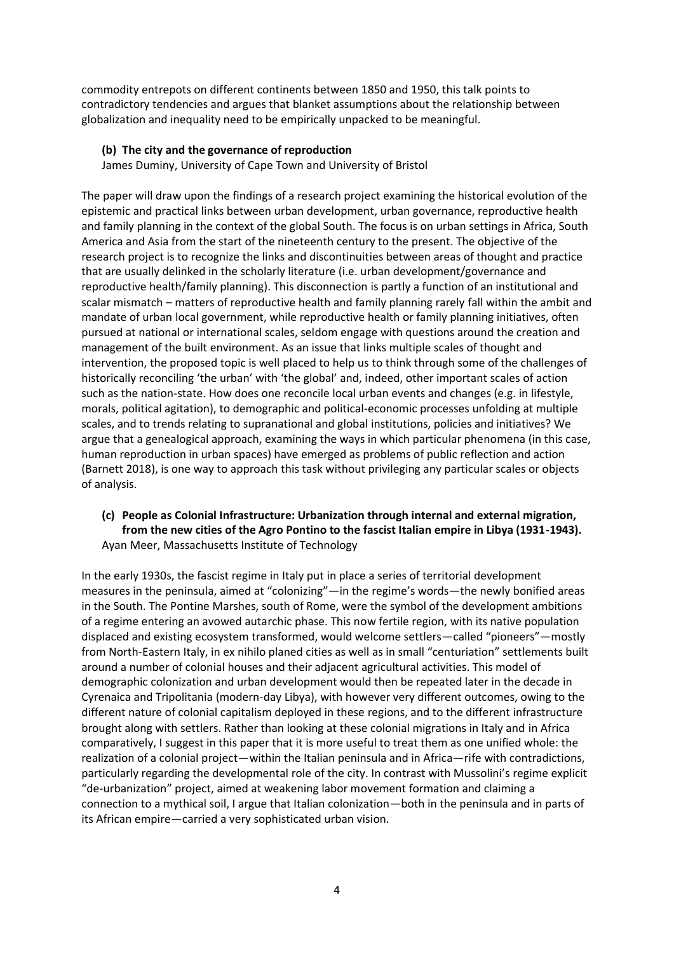commodity entrepots on different continents between 1850 and 1950, this talk points to contradictory tendencies and argues that blanket assumptions about the relationship between globalization and inequality need to be empirically unpacked to be meaningful.

#### **(b) The city and the governance of reproduction**

James Duminy, University of Cape Town and University of Bristol

The paper will draw upon the findings of a research project examining the historical evolution of the epistemic and practical links between urban development, urban governance, reproductive health and family planning in the context of the global South. The focus is on urban settings in Africa, South America and Asia from the start of the nineteenth century to the present. The objective of the research project is to recognize the links and discontinuities between areas of thought and practice that are usually delinked in the scholarly literature (i.e. urban development/governance and reproductive health/family planning). This disconnection is partly a function of an institutional and scalar mismatch – matters of reproductive health and family planning rarely fall within the ambit and mandate of urban local government, while reproductive health or family planning initiatives, often pursued at national or international scales, seldom engage with questions around the creation and management of the built environment. As an issue that links multiple scales of thought and intervention, the proposed topic is well placed to help us to think through some of the challenges of historically reconciling 'the urban' with 'the global' and, indeed, other important scales of action such as the nation-state. How does one reconcile local urban events and changes (e.g. in lifestyle, morals, political agitation), to demographic and political-economic processes unfolding at multiple scales, and to trends relating to supranational and global institutions, policies and initiatives? We argue that a genealogical approach, examining the ways in which particular phenomena (in this case, human reproduction in urban spaces) have emerged as problems of public reflection and action (Barnett 2018), is one way to approach this task without privileging any particular scales or objects of analysis.

### **(c) People as Colonial Infrastructure: Urbanization through internal and external migration, from the new cities of the Agro Pontino to the fascist Italian empire in Libya (1931-1943).** Ayan Meer, Massachusetts Institute of Technology

In the early 1930s, the fascist regime in Italy put in place a series of territorial development measures in the peninsula, aimed at "colonizing"—in the regime's words—the newly bonified areas in the South. The Pontine Marshes, south of Rome, were the symbol of the development ambitions of a regime entering an avowed autarchic phase. This now fertile region, with its native population displaced and existing ecosystem transformed, would welcome settlers—called "pioneers"—mostly from North-Eastern Italy, in ex nihilo planed cities as well as in small "centuriation" settlements built around a number of colonial houses and their adjacent agricultural activities. This model of demographic colonization and urban development would then be repeated later in the decade in Cyrenaica and Tripolitania (modern-day Libya), with however very different outcomes, owing to the different nature of colonial capitalism deployed in these regions, and to the different infrastructure brought along with settlers. Rather than looking at these colonial migrations in Italy and in Africa comparatively, I suggest in this paper that it is more useful to treat them as one unified whole: the realization of a colonial project—within the Italian peninsula and in Africa—rife with contradictions, particularly regarding the developmental role of the city. In contrast with Mussolini's regime explicit "de-urbanization" project, aimed at weakening labor movement formation and claiming a connection to a mythical soil, I argue that Italian colonization—both in the peninsula and in parts of its African empire—carried a very sophisticated urban vision.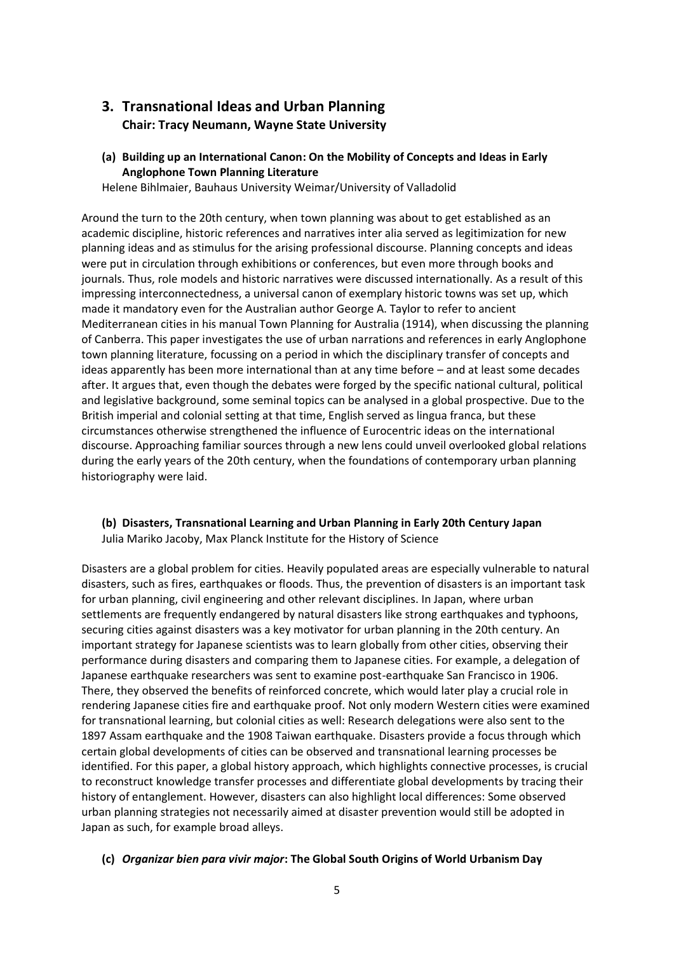## **3. Transnational Ideas and Urban Planning Chair: Tracy Neumann, Wayne State University**

**(a) Building up an International Canon: On the Mobility of Concepts and Ideas in Early Anglophone Town Planning Literature**

Helene Bihlmaier, Bauhaus University Weimar/University of Valladolid

Around the turn to the 20th century, when town planning was about to get established as an academic discipline, historic references and narratives inter alia served as legitimization for new planning ideas and as stimulus for the arising professional discourse. Planning concepts and ideas were put in circulation through exhibitions or conferences, but even more through books and journals. Thus, role models and historic narratives were discussed internationally. As a result of this impressing interconnectedness, a universal canon of exemplary historic towns was set up, which made it mandatory even for the Australian author George A. Taylor to refer to ancient Mediterranean cities in his manual Town Planning for Australia (1914), when discussing the planning of Canberra. This paper investigates the use of urban narrations and references in early Anglophone town planning literature, focussing on a period in which the disciplinary transfer of concepts and ideas apparently has been more international than at any time before – and at least some decades after. It argues that, even though the debates were forged by the specific national cultural, political and legislative background, some seminal topics can be analysed in a global prospective. Due to the British imperial and colonial setting at that time, English served as lingua franca, but these circumstances otherwise strengthened the influence of Eurocentric ideas on the international discourse. Approaching familiar sources through a new lens could unveil overlooked global relations during the early years of the 20th century, when the foundations of contemporary urban planning historiography were laid.

### **(b) Disasters, Transnational Learning and Urban Planning in Early 20th Century Japan** Julia Mariko Jacoby, Max Planck Institute for the History of Science

Disasters are a global problem for cities. Heavily populated areas are especially vulnerable to natural disasters, such as fires, earthquakes or floods. Thus, the prevention of disasters is an important task for urban planning, civil engineering and other relevant disciplines. In Japan, where urban settlements are frequently endangered by natural disasters like strong earthquakes and typhoons, securing cities against disasters was a key motivator for urban planning in the 20th century. An important strategy for Japanese scientists was to learn globally from other cities, observing their performance during disasters and comparing them to Japanese cities. For example, a delegation of Japanese earthquake researchers was sent to examine post-earthquake San Francisco in 1906. There, they observed the benefits of reinforced concrete, which would later play a crucial role in rendering Japanese cities fire and earthquake proof. Not only modern Western cities were examined for transnational learning, but colonial cities as well: Research delegations were also sent to the 1897 Assam earthquake and the 1908 Taiwan earthquake. Disasters provide a focus through which certain global developments of cities can be observed and transnational learning processes be identified. For this paper, a global history approach, which highlights connective processes, is crucial to reconstruct knowledge transfer processes and differentiate global developments by tracing their history of entanglement. However, disasters can also highlight local differences: Some observed urban planning strategies not necessarily aimed at disaster prevention would still be adopted in Japan as such, for example broad alleys.

#### **(c)** *Organizar bien para vivir major***: The Global South Origins of World Urbanism Day**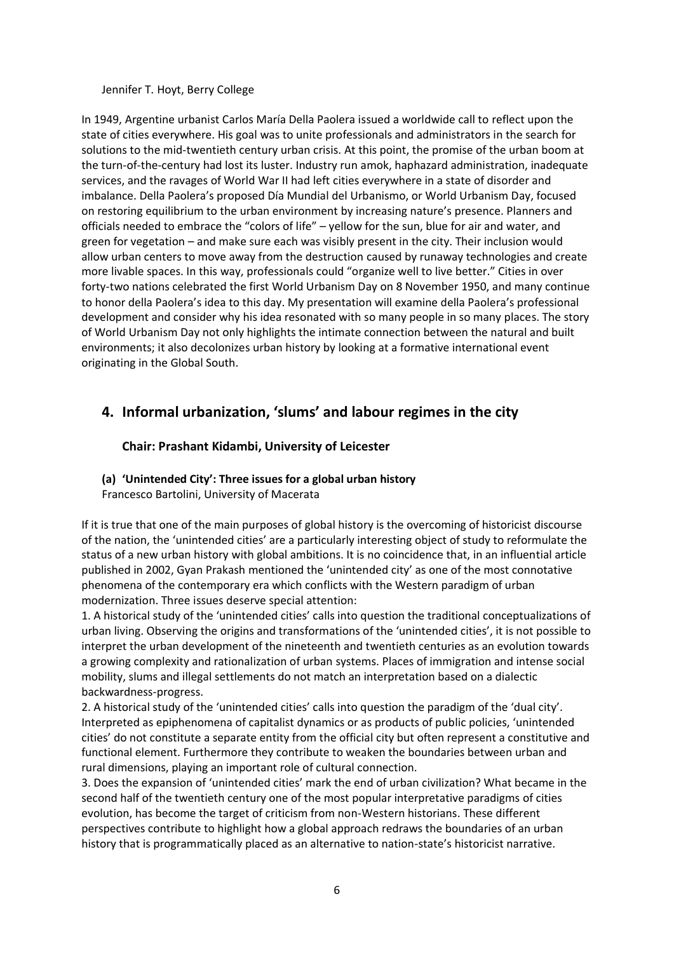Jennifer T. Hoyt, Berry College

In 1949, Argentine urbanist Carlos María Della Paolera issued a worldwide call to reflect upon the state of cities everywhere. His goal was to unite professionals and administrators in the search for solutions to the mid-twentieth century urban crisis. At this point, the promise of the urban boom at the turn-of-the-century had lost its luster. Industry run amok, haphazard administration, inadequate services, and the ravages of World War II had left cities everywhere in a state of disorder and imbalance. Della Paolera's proposed Día Mundial del Urbanismo, or World Urbanism Day, focused on restoring equilibrium to the urban environment by increasing nature's presence. Planners and officials needed to embrace the "colors of life" – yellow for the sun, blue for air and water, and green for vegetation – and make sure each was visibly present in the city. Their inclusion would allow urban centers to move away from the destruction caused by runaway technologies and create more livable spaces. In this way, professionals could "organize well to live better." Cities in over forty-two nations celebrated the first World Urbanism Day on 8 November 1950, and many continue to honor della Paolera's idea to this day. My presentation will examine della Paolera's professional development and consider why his idea resonated with so many people in so many places. The story of World Urbanism Day not only highlights the intimate connection between the natural and built environments; it also decolonizes urban history by looking at a formative international event originating in the Global South.

## **4. Informal urbanization, 'slums' and labour regimes in the city**

## **Chair: Prashant Kidambi, University of Leicester**

## **(a) 'Unintended City': Three issues for a global urban history**

Francesco Bartolini, University of Macerata

If it is true that one of the main purposes of global history is the overcoming of historicist discourse of the nation, the 'unintended cities' are a particularly interesting object of study to reformulate the status of a new urban history with global ambitions. It is no coincidence that, in an influential article published in 2002, Gyan Prakash mentioned the 'unintended city' as one of the most connotative phenomena of the contemporary era which conflicts with the Western paradigm of urban modernization. Three issues deserve special attention:

1. A historical study of the 'unintended cities' calls into question the traditional conceptualizations of urban living. Observing the origins and transformations of the 'unintended cities', it is not possible to interpret the urban development of the nineteenth and twentieth centuries as an evolution towards a growing complexity and rationalization of urban systems. Places of immigration and intense social mobility, slums and illegal settlements do not match an interpretation based on a dialectic backwardness-progress.

2. A historical study of the 'unintended cities' calls into question the paradigm of the 'dual city'. Interpreted as epiphenomena of capitalist dynamics or as products of public policies, 'unintended cities' do not constitute a separate entity from the official city but often represent a constitutive and functional element. Furthermore they contribute to weaken the boundaries between urban and rural dimensions, playing an important role of cultural connection.

3. Does the expansion of 'unintended cities' mark the end of urban civilization? What became in the second half of the twentieth century one of the most popular interpretative paradigms of cities evolution, has become the target of criticism from non-Western historians. These different perspectives contribute to highlight how a global approach redraws the boundaries of an urban history that is programmatically placed as an alternative to nation-state's historicist narrative.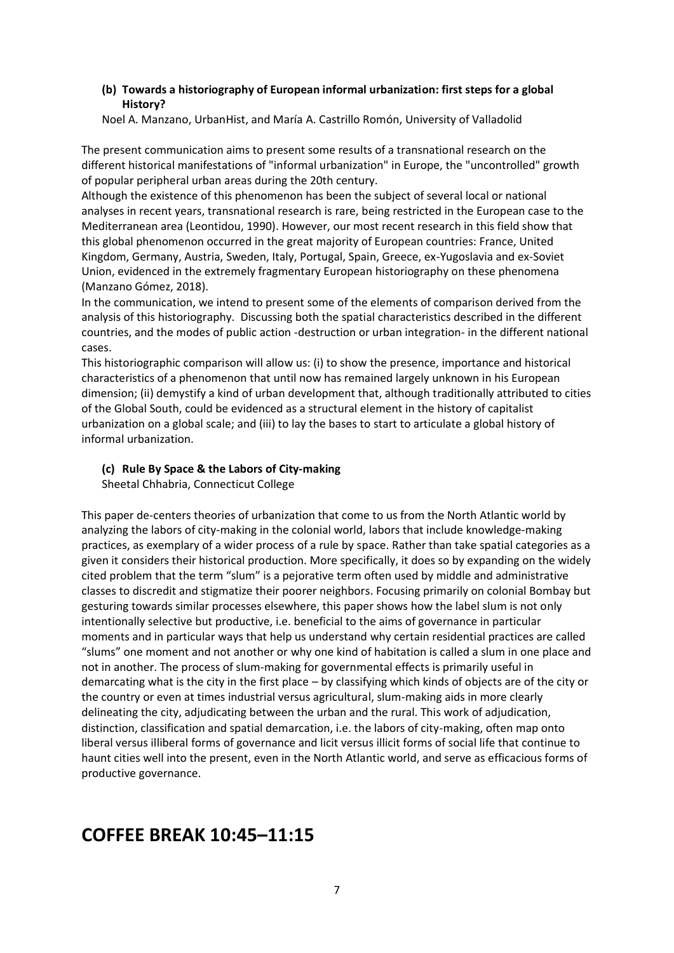### **(b) Towards a historiography of European informal urbanization: first steps for a global History?**

Noel A. Manzano, UrbanHist, and María A. Castrillo Romón, University of Valladolid

The present communication aims to present some results of a transnational research on the different historical manifestations of "informal urbanization" in Europe, the "uncontrolled" growth of popular peripheral urban areas during the 20th century.

Although the existence of this phenomenon has been the subject of several local or national analyses in recent years, transnational research is rare, being restricted in the European case to the Mediterranean area (Leontidou, 1990). However, our most recent research in this field show that this global phenomenon occurred in the great majority of European countries: France, United Kingdom, Germany, Austria, Sweden, Italy, Portugal, Spain, Greece, ex-Yugoslavia and ex-Soviet Union, evidenced in the extremely fragmentary European historiography on these phenomena (Manzano Gómez, 2018).

In the communication, we intend to present some of the elements of comparison derived from the analysis of this historiography. Discussing both the spatial characteristics described in the different countries, and the modes of public action -destruction or urban integration- in the different national cases.

This historiographic comparison will allow us: (i) to show the presence, importance and historical characteristics of a phenomenon that until now has remained largely unknown in his European dimension; (ii) demystify a kind of urban development that, although traditionally attributed to cities of the Global South, could be evidenced as a structural element in the history of capitalist urbanization on a global scale; and (iii) to lay the bases to start to articulate a global history of informal urbanization.

#### **(c) Rule By Space & the Labors of City-making** Sheetal Chhabria, Connecticut College

This paper de-centers theories of urbanization that come to us from the North Atlantic world by analyzing the labors of city-making in the colonial world, labors that include knowledge-making practices, as exemplary of a wider process of a rule by space. Rather than take spatial categories as a given it considers their historical production. More specifically, it does so by expanding on the widely cited problem that the term "slum" is a pejorative term often used by middle and administrative classes to discredit and stigmatize their poorer neighbors. Focusing primarily on colonial Bombay but gesturing towards similar processes elsewhere, this paper shows how the label slum is not only intentionally selective but productive, i.e. beneficial to the aims of governance in particular moments and in particular ways that help us understand why certain residential practices are called "slums" one moment and not another or why one kind of habitation is called a slum in one place and not in another. The process of slum-making for governmental effects is primarily useful in demarcating what is the city in the first place – by classifying which kinds of objects are of the city or the country or even at times industrial versus agricultural, slum-making aids in more clearly delineating the city, adjudicating between the urban and the rural. This work of adjudication, distinction, classification and spatial demarcation, i.e. the labors of city-making, often map onto liberal versus illiberal forms of governance and licit versus illicit forms of social life that continue to haunt cities well into the present, even in the North Atlantic world, and serve as efficacious forms of productive governance.

# **COFFEE BREAK 10:45–11:15**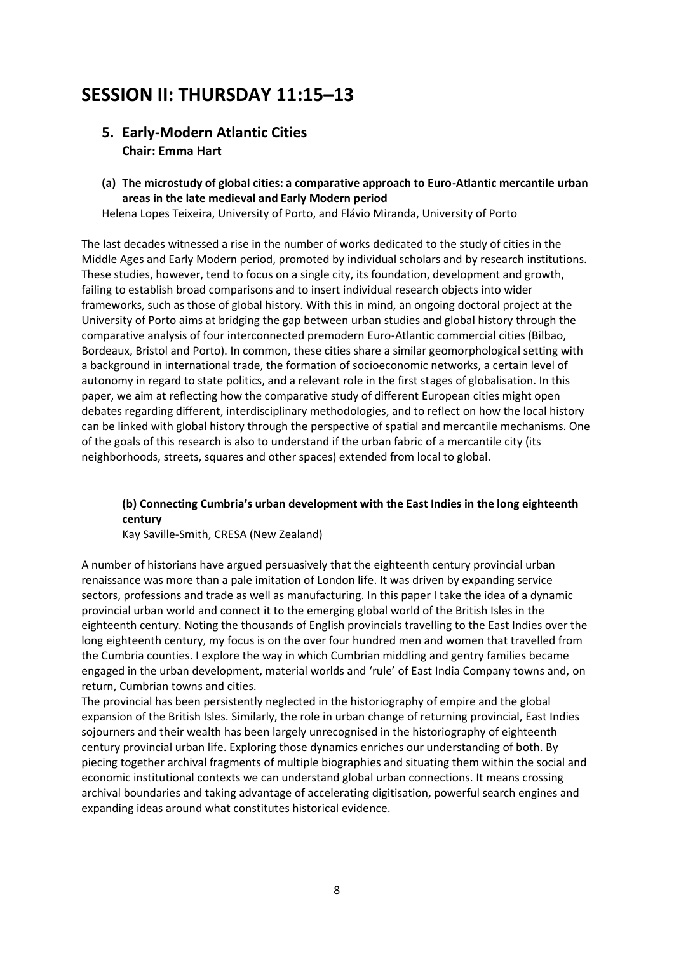# **SESSION II: THURSDAY 11:15–13**

## **5. Early-Modern Atlantic Cities Chair: Emma Hart**

**(a) The microstudy of global cities: a comparative approach to Euro-Atlantic mercantile urban areas in the late medieval and Early Modern period**

Helena Lopes Teixeira, University of Porto, and Flávio Miranda, University of Porto

The last decades witnessed a rise in the number of works dedicated to the study of cities in the Middle Ages and Early Modern period, promoted by individual scholars and by research institutions. These studies, however, tend to focus on a single city, its foundation, development and growth, failing to establish broad comparisons and to insert individual research objects into wider frameworks, such as those of global history. With this in mind, an ongoing doctoral project at the University of Porto aims at bridging the gap between urban studies and global history through the comparative analysis of four interconnected premodern Euro-Atlantic commercial cities (Bilbao, Bordeaux, Bristol and Porto). In common, these cities share a similar geomorphological setting with a background in international trade, the formation of socioeconomic networks, a certain level of autonomy in regard to state politics, and a relevant role in the first stages of globalisation. In this paper, we aim at reflecting how the comparative study of different European cities might open debates regarding different, interdisciplinary methodologies, and to reflect on how the local history can be linked with global history through the perspective of spatial and mercantile mechanisms. One of the goals of this research is also to understand if the urban fabric of a mercantile city (its neighborhoods, streets, squares and other spaces) extended from local to global.

## **(b) Connecting Cumbria's urban development with the East Indies in the long eighteenth century**

Kay Saville-Smith, CRESA (New Zealand)

A number of historians have argued persuasively that the eighteenth century provincial urban renaissance was more than a pale imitation of London life. It was driven by expanding service sectors, professions and trade as well as manufacturing. In this paper I take the idea of a dynamic provincial urban world and connect it to the emerging global world of the British Isles in the eighteenth century. Noting the thousands of English provincials travelling to the East Indies over the long eighteenth century, my focus is on the over four hundred men and women that travelled from the Cumbria counties. I explore the way in which Cumbrian middling and gentry families became engaged in the urban development, material worlds and 'rule' of East India Company towns and, on return, Cumbrian towns and cities.

The provincial has been persistently neglected in the historiography of empire and the global expansion of the British Isles. Similarly, the role in urban change of returning provincial, East Indies sojourners and their wealth has been largely unrecognised in the historiography of eighteenth century provincial urban life. Exploring those dynamics enriches our understanding of both. By piecing together archival fragments of multiple biographies and situating them within the social and economic institutional contexts we can understand global urban connections. It means crossing archival boundaries and taking advantage of accelerating digitisation, powerful search engines and expanding ideas around what constitutes historical evidence.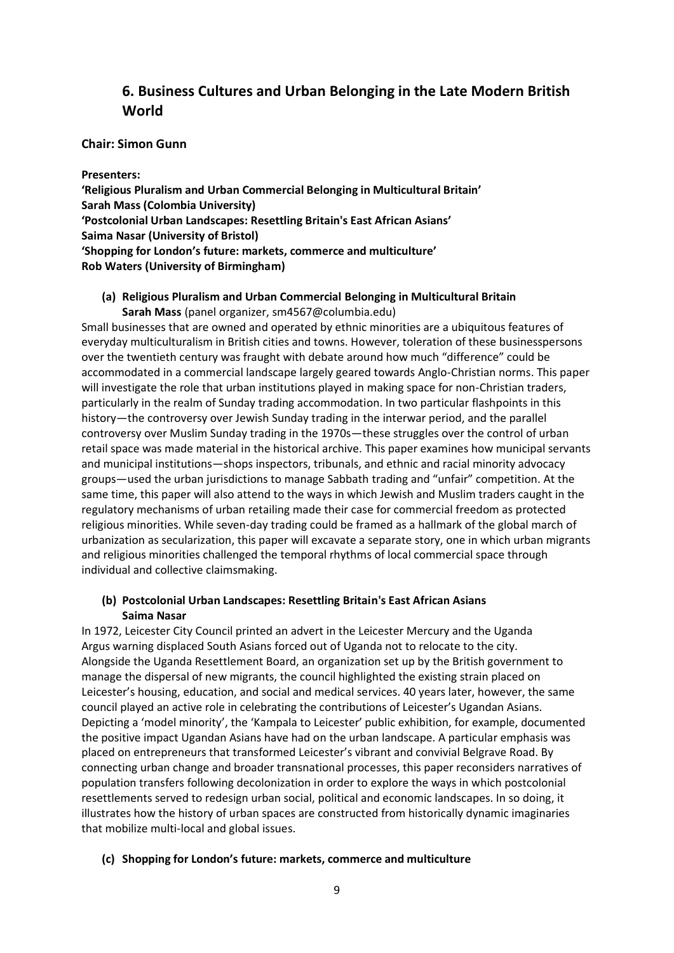## **6. Business Cultures and Urban Belonging in the Late Modern British World**

### **Chair: Simon Gunn**

#### **Presenters:**

**'Religious Pluralism and Urban Commercial Belonging in Multicultural Britain' Sarah Mass (Colombia University) 'Postcolonial Urban Landscapes: Resettling Britain's East African Asians' Saima Nasar (University of Bristol) 'Shopping for London's future: markets, commerce and multiculture' Rob Waters (University of Birmingham)**

## **(a) Religious Pluralism and Urban Commercial Belonging in Multicultural Britain Sarah Mass** (panel organizer, sm4567@columbia.edu)

Small businesses that are owned and operated by ethnic minorities are a ubiquitous features of everyday multiculturalism in British cities and towns. However, toleration of these businesspersons over the twentieth century was fraught with debate around how much "difference" could be accommodated in a commercial landscape largely geared towards Anglo-Christian norms. This paper will investigate the role that urban institutions played in making space for non-Christian traders, particularly in the realm of Sunday trading accommodation. In two particular flashpoints in this history—the controversy over Jewish Sunday trading in the interwar period, and the parallel controversy over Muslim Sunday trading in the 1970s—these struggles over the control of urban retail space was made material in the historical archive. This paper examines how municipal servants and municipal institutions—shops inspectors, tribunals, and ethnic and racial minority advocacy groups—used the urban jurisdictions to manage Sabbath trading and "unfair" competition. At the same time, this paper will also attend to the ways in which Jewish and Muslim traders caught in the regulatory mechanisms of urban retailing made their case for commercial freedom as protected religious minorities. While seven-day trading could be framed as a hallmark of the global march of urbanization as secularization, this paper will excavate a separate story, one in which urban migrants and religious minorities challenged the temporal rhythms of local commercial space through individual and collective claimsmaking.

## **(b) Postcolonial Urban Landscapes: Resettling Britain's East African Asians Saima Nasar**

In 1972, Leicester City Council printed an advert in the Leicester Mercury and the Uganda Argus warning displaced South Asians forced out of Uganda not to relocate to the city. Alongside the Uganda Resettlement Board, an organization set up by the British government to manage the dispersal of new migrants, the council highlighted the existing strain placed on Leicester's housing, education, and social and medical services. 40 years later, however, the same council played an active role in celebrating the contributions of Leicester's Ugandan Asians. Depicting a 'model minority', the 'Kampala to Leicester' public exhibition, for example, documented the positive impact Ugandan Asians have had on the urban landscape. A particular emphasis was placed on entrepreneurs that transformed Leicester's vibrant and convivial Belgrave Road. By connecting urban change and broader transnational processes, this paper reconsiders narratives of population transfers following decolonization in order to explore the ways in which postcolonial resettlements served to redesign urban social, political and economic landscapes. In so doing, it illustrates how the history of urban spaces are constructed from historically dynamic imaginaries that mobilize multi-local and global issues.

#### **(c) Shopping for London's future: markets, commerce and multiculture**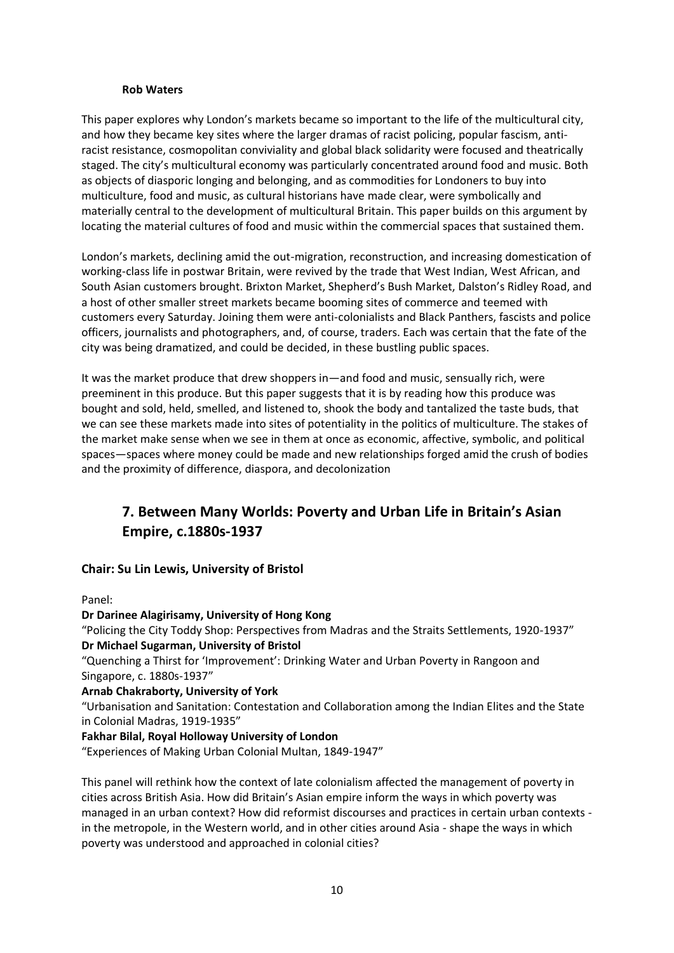#### **Rob Waters**

This paper explores why London's markets became so important to the life of the multicultural city, and how they became key sites where the larger dramas of racist policing, popular fascism, antiracist resistance, cosmopolitan conviviality and global black solidarity were focused and theatrically staged. The city's multicultural economy was particularly concentrated around food and music. Both as objects of diasporic longing and belonging, and as commodities for Londoners to buy into multiculture, food and music, as cultural historians have made clear, were symbolically and materially central to the development of multicultural Britain. This paper builds on this argument by locating the material cultures of food and music within the commercial spaces that sustained them.

London's markets, declining amid the out-migration, reconstruction, and increasing domestication of working-class life in postwar Britain, were revived by the trade that West Indian, West African, and South Asian customers brought. Brixton Market, Shepherd's Bush Market, Dalston's Ridley Road, and a host of other smaller street markets became booming sites of commerce and teemed with customers every Saturday. Joining them were anti-colonialists and Black Panthers, fascists and police officers, journalists and photographers, and, of course, traders. Each was certain that the fate of the city was being dramatized, and could be decided, in these bustling public spaces.

It was the market produce that drew shoppers in—and food and music, sensually rich, were preeminent in this produce. But this paper suggests that it is by reading how this produce was bought and sold, held, smelled, and listened to, shook the body and tantalized the taste buds, that we can see these markets made into sites of potentiality in the politics of multiculture. The stakes of the market make sense when we see in them at once as economic, affective, symbolic, and political spaces—spaces where money could be made and new relationships forged amid the crush of bodies and the proximity of difference, diaspora, and decolonization

# **7. Between Many Worlds: Poverty and Urban Life in Britain's Asian Empire, c.1880s-1937**

## **Chair: Su Lin Lewis, University of Bristol**

Panel:

**Dr Darinee Alagirisamy, University of Hong Kong**  "Policing the City Toddy Shop: Perspectives from Madras and the Straits Settlements, 1920-1937" **Dr Michael Sugarman, University of Bristol** 

"Quenching a Thirst for 'Improvement': Drinking Water and Urban Poverty in Rangoon and Singapore, c. 1880s-1937"

#### **Arnab Chakraborty, University of York**

"Urbanisation and Sanitation: Contestation and Collaboration among the Indian Elites and the State in Colonial Madras, 1919-1935"

#### **Fakhar Bilal, Royal Holloway University of London**

"Experiences of Making Urban Colonial Multan, 1849-1947"

This panel will rethink how the context of late colonialism affected the management of poverty in cities across British Asia. How did Britain's Asian empire inform the ways in which poverty was managed in an urban context? How did reformist discourses and practices in certain urban contexts in the metropole, in the Western world, and in other cities around Asia - shape the ways in which poverty was understood and approached in colonial cities?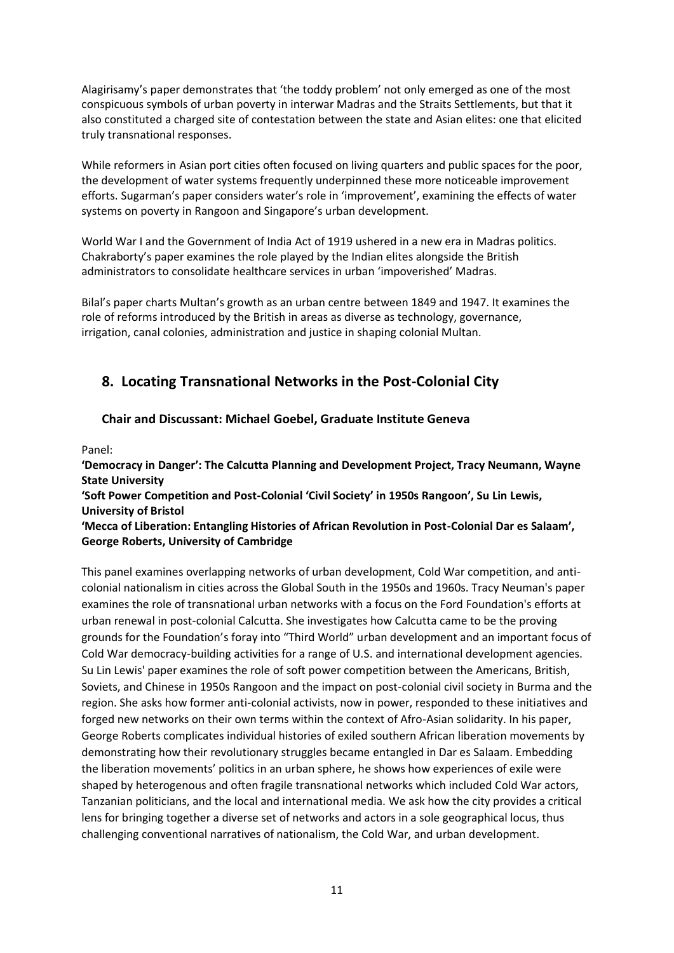Alagirisamy's paper demonstrates that 'the toddy problem' not only emerged as one of the most conspicuous symbols of urban poverty in interwar Madras and the Straits Settlements, but that it also constituted a charged site of contestation between the state and Asian elites: one that elicited truly transnational responses.

While reformers in Asian port cities often focused on living quarters and public spaces for the poor, the development of water systems frequently underpinned these more noticeable improvement efforts. Sugarman's paper considers water's role in 'improvement', examining the effects of water systems on poverty in Rangoon and Singapore's urban development.

World War I and the Government of India Act of 1919 ushered in a new era in Madras politics. Chakraborty's paper examines the role played by the Indian elites alongside the British administrators to consolidate healthcare services in urban 'impoverished' Madras.

Bilal's paper charts Multan's growth as an urban centre between 1849 and 1947. It examines the role of reforms introduced by the British in areas as diverse as technology, governance, irrigation, canal colonies, administration and justice in shaping colonial Multan.

# **8. Locating Transnational Networks in the Post-Colonial City**

## **Chair and Discussant: Michael Goebel, Graduate Institute Geneva**

Panel:

**'Democracy in Danger': The Calcutta Planning and Development Project, Tracy Neumann, Wayne State University**

**'Soft Power Competition and Post-Colonial 'Civil Society' in 1950s Rangoon', Su Lin Lewis, University of Bristol**

### **'Mecca of Liberation: Entangling Histories of African Revolution in Post-Colonial Dar es Salaam', George Roberts, University of Cambridge**

This panel examines overlapping networks of urban development, Cold War competition, and anticolonial nationalism in cities across the Global South in the 1950s and 1960s. Tracy Neuman's paper examines the role of transnational urban networks with a focus on the Ford Foundation's efforts at urban renewal in post-colonial Calcutta. She investigates how Calcutta came to be the proving grounds for the Foundation's foray into "Third World" urban development and an important focus of Cold War democracy-building activities for a range of U.S. and international development agencies. Su Lin Lewis' paper examines the role of soft power competition between the Americans, British, Soviets, and Chinese in 1950s Rangoon and the impact on post-colonial civil society in Burma and the region. She asks how former anti-colonial activists, now in power, responded to these initiatives and forged new networks on their own terms within the context of Afro-Asian solidarity. In his paper, George Roberts complicates individual histories of exiled southern African liberation movements by demonstrating how their revolutionary struggles became entangled in Dar es Salaam. Embedding the liberation movements' politics in an urban sphere, he shows how experiences of exile were shaped by heterogenous and often fragile transnational networks which included Cold War actors, Tanzanian politicians, and the local and international media. We ask how the city provides a critical lens for bringing together a diverse set of networks and actors in a sole geographical locus, thus challenging conventional narratives of nationalism, the Cold War, and urban development.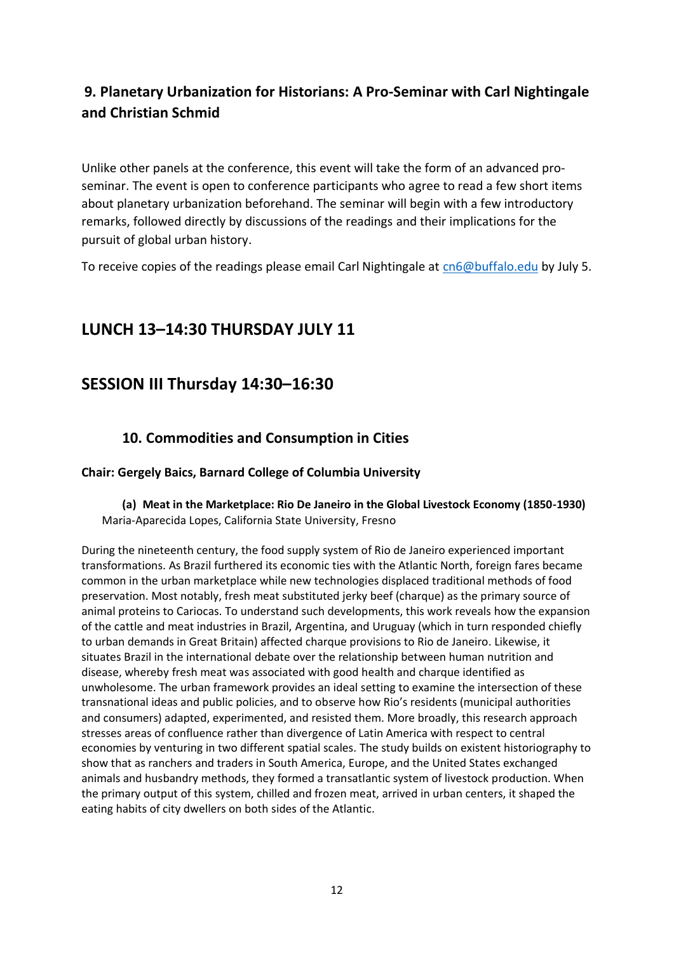# **9. Planetary Urbanization for Historians: A Pro-Seminar with Carl Nightingale and Christian Schmid**

Unlike other panels at the conference, this event will take the form of an advanced proseminar. The event is open to conference participants who agree to read a few short items about planetary urbanization beforehand. The seminar will begin with a few introductory remarks, followed directly by discussions of the readings and their implications for the pursuit of global urban history.

To receive copies of the readings please email Carl Nightingale at [cn6@buffalo.edu](mailto:cn6@buffalo.edu) by July 5.

# **LUNCH 13–14:30 THURSDAY JULY 11**

# **SESSION III Thursday 14:30–16:30**

## **10. Commodities and Consumption in Cities**

## **Chair: Gergely Baics, Barnard College of Columbia University**

## **(a) Meat in the Marketplace: Rio De Janeiro in the Global Livestock Economy (1850-1930)** Maria-Aparecida Lopes, California State University, Fresno

During the nineteenth century, the food supply system of Rio de Janeiro experienced important transformations. As Brazil furthered its economic ties with the Atlantic North, foreign fares became common in the urban marketplace while new technologies displaced traditional methods of food preservation. Most notably, fresh meat substituted jerky beef (charque) as the primary source of animal proteins to Cariocas. To understand such developments, this work reveals how the expansion of the cattle and meat industries in Brazil, Argentina, and Uruguay (which in turn responded chiefly to urban demands in Great Britain) affected charque provisions to Rio de Janeiro. Likewise, it situates Brazil in the international debate over the relationship between human nutrition and disease, whereby fresh meat was associated with good health and charque identified as unwholesome. The urban framework provides an ideal setting to examine the intersection of these transnational ideas and public policies, and to observe how Rio's residents (municipal authorities and consumers) adapted, experimented, and resisted them. More broadly, this research approach stresses areas of confluence rather than divergence of Latin America with respect to central economies by venturing in two different spatial scales. The study builds on existent historiography to show that as ranchers and traders in South America, Europe, and the United States exchanged animals and husbandry methods, they formed a transatlantic system of livestock production. When the primary output of this system, chilled and frozen meat, arrived in urban centers, it shaped the eating habits of city dwellers on both sides of the Atlantic.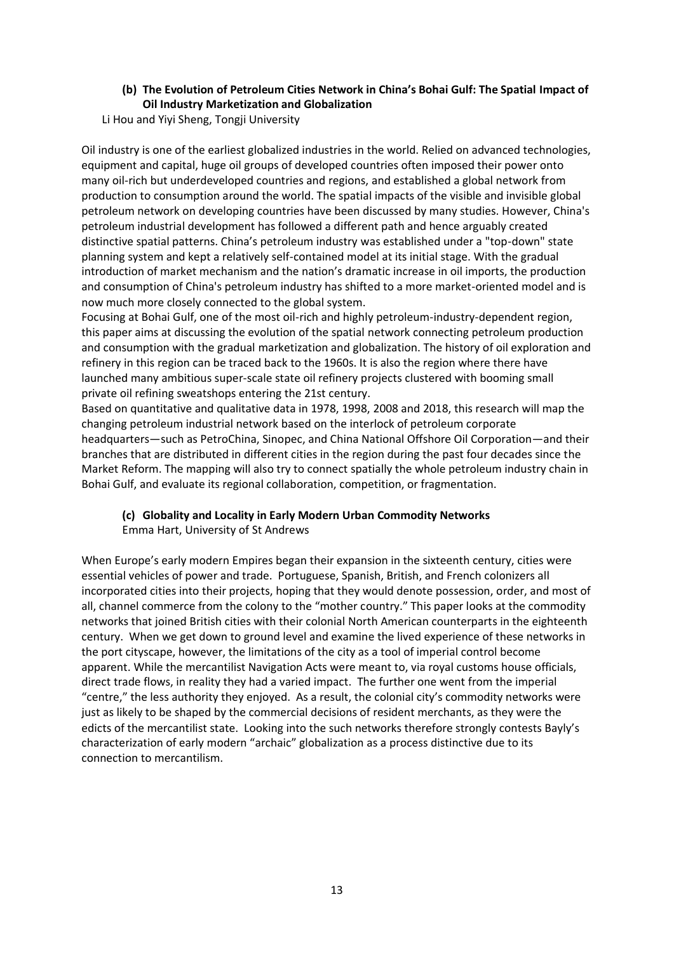## **(b) The Evolution of Petroleum Cities Network in China's Bohai Gulf: The Spatial Impact of Oil Industry Marketization and Globalization**

Li Hou and Yiyi Sheng, Tongji University

Oil industry is one of the earliest globalized industries in the world. Relied on advanced technologies, equipment and capital, huge oil groups of developed countries often imposed their power onto many oil-rich but underdeveloped countries and regions, and established a global network from production to consumption around the world. The spatial impacts of the visible and invisible global petroleum network on developing countries have been discussed by many studies. However, China's petroleum industrial development has followed a different path and hence arguably created distinctive spatial patterns. China's petroleum industry was established under a "top-down" state planning system and kept a relatively self-contained model at its initial stage. With the gradual introduction of market mechanism and the nation's dramatic increase in oil imports, the production and consumption of China's petroleum industry has shifted to a more market-oriented model and is now much more closely connected to the global system.

Focusing at Bohai Gulf, one of the most oil-rich and highly petroleum-industry-dependent region, this paper aims at discussing the evolution of the spatial network connecting petroleum production and consumption with the gradual marketization and globalization. The history of oil exploration and refinery in this region can be traced back to the 1960s. It is also the region where there have launched many ambitious super-scale state oil refinery projects clustered with booming small private oil refining sweatshops entering the 21st century.

Based on quantitative and qualitative data in 1978, 1998, 2008 and 2018, this research will map the changing petroleum industrial network based on the interlock of petroleum corporate headquarters—such as PetroChina, Sinopec, and China National Offshore Oil Corporation—and their branches that are distributed in different cities in the region during the past four decades since the Market Reform. The mapping will also try to connect spatially the whole petroleum industry chain in Bohai Gulf, and evaluate its regional collaboration, competition, or fragmentation.

### **(c) Globality and Locality in Early Modern Urban Commodity Networks** Emma Hart, University of St Andrews

When Europe's early modern Empires began their expansion in the sixteenth century, cities were essential vehicles of power and trade. Portuguese, Spanish, British, and French colonizers all incorporated cities into their projects, hoping that they would denote possession, order, and most of all, channel commerce from the colony to the "mother country." This paper looks at the commodity networks that joined British cities with their colonial North American counterparts in the eighteenth century. When we get down to ground level and examine the lived experience of these networks in the port cityscape, however, the limitations of the city as a tool of imperial control become apparent. While the mercantilist Navigation Acts were meant to, via royal customs house officials, direct trade flows, in reality they had a varied impact. The further one went from the imperial "centre," the less authority they enjoyed. As a result, the colonial city's commodity networks were just as likely to be shaped by the commercial decisions of resident merchants, as they were the edicts of the mercantilist state. Looking into the such networks therefore strongly contests Bayly's characterization of early modern "archaic" globalization as a process distinctive due to its connection to mercantilism.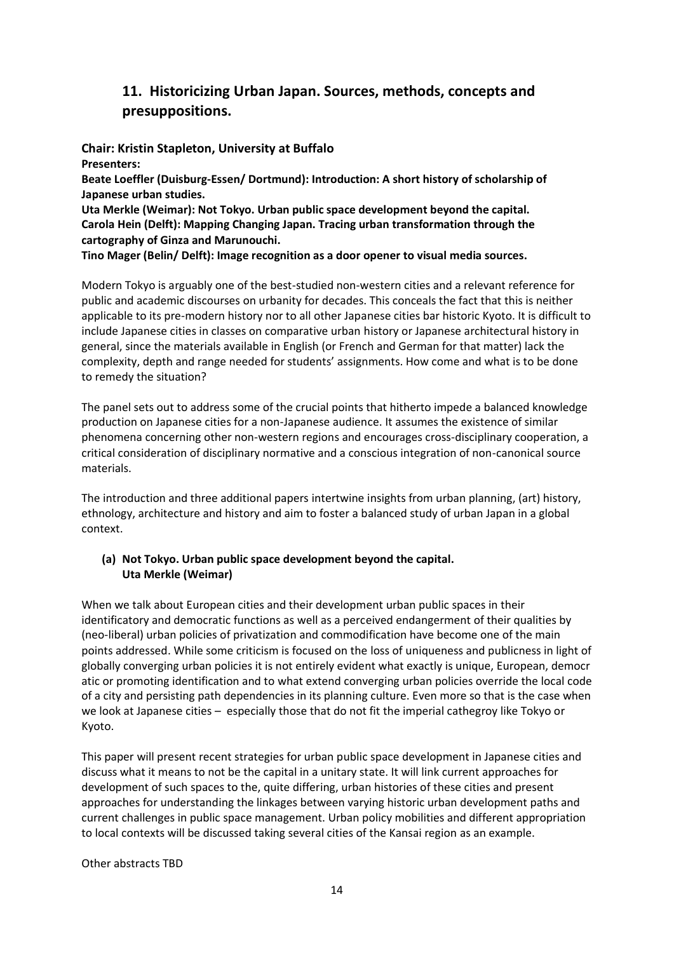## **11. Historicizing Urban Japan. Sources, methods, concepts and presuppositions.**

**Chair: Kristin Stapleton, University at Buffalo Presenters:**

**Beate Loeffler (Duisburg-Essen/ Dortmund): Introduction: A short history of scholarship of Japanese urban studies.**

**Uta Merkle (Weimar): Not Tokyo. Urban public space development beyond the capital. Carola Hein (Delft): Mapping Changing Japan. Tracing urban transformation through the cartography of Ginza and Marunouchi.**

**Tino Mager (Belin/ Delft): Image recognition as a door opener to visual media sources.**

Modern Tokyo is arguably one of the best-studied non-western cities and a relevant reference for public and academic discourses on urbanity for decades. This conceals the fact that this is neither applicable to its pre-modern history nor to all other Japanese cities bar historic Kyoto. It is difficult to include Japanese cities in classes on comparative urban history or Japanese architectural history in general, since the materials available in English (or French and German for that matter) lack the complexity, depth and range needed for students' assignments. How come and what is to be done to remedy the situation?

The panel sets out to address some of the crucial points that hitherto impede a balanced knowledge production on Japanese cities for a non-Japanese audience. It assumes the existence of similar phenomena concerning other non-western regions and encourages cross-disciplinary cooperation, a critical consideration of disciplinary normative and a conscious integration of non-canonical source materials.

The introduction and three additional papers intertwine insights from urban planning, (art) history, ethnology, architecture and history and aim to foster a balanced study of urban Japan in a global context.

## **(a) Not Tokyo. Urban public space development beyond the capital. Uta Merkle (Weimar)**

When we talk about European cities and their development urban public spaces in their identificatory and democratic functions as well as a perceived endangerment of their qualities by (neo-liberal) urban policies of privatization and commodification have become one of the main points addressed. While some criticism is focused on the loss of uniqueness and publicness in light of globally converging urban policies it is not entirely evident what exactly is unique, European, democr atic or promoting identification and to what extend converging urban policies override the local code of a city and persisting path dependencies in its planning culture. Even more so that is the case when we look at Japanese cities – especially those that do not fit the imperial cathegroy like Tokyo or Kyoto.

This paper will present recent strategies for urban public space development in Japanese cities and discuss what it means to not be the capital in a unitary state. It will link current approaches for development of such spaces to the, quite differing, urban histories of these cities and present approaches for understanding the linkages between varying historic urban development paths and current challenges in public space management. Urban policy mobilities and different appropriation to local contexts will be discussed taking several cities of the Kansai region as an example.

Other abstracts TBD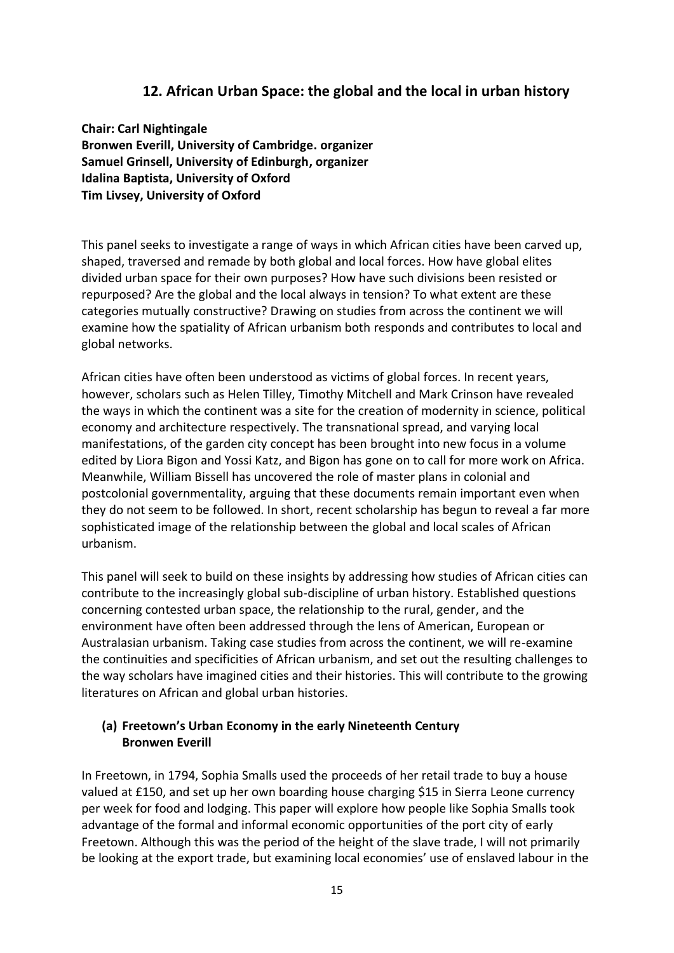## **12. African Urban Space: the global and the local in urban history**

**Chair: Carl Nightingale Bronwen Everill, University of Cambridge. organizer Samuel Grinsell, University of Edinburgh, organizer Idalina Baptista, University of Oxford Tim Livsey, University of Oxford**

This panel seeks to investigate a range of ways in which African cities have been carved up, shaped, traversed and remade by both global and local forces. How have global elites divided urban space for their own purposes? How have such divisions been resisted or repurposed? Are the global and the local always in tension? To what extent are these categories mutually constructive? Drawing on studies from across the continent we will examine how the spatiality of African urbanism both responds and contributes to local and global networks.

African cities have often been understood as victims of global forces. In recent years, however, scholars such as Helen Tilley, Timothy Mitchell and Mark Crinson have revealed the ways in which the continent was a site for the creation of modernity in science, political economy and architecture respectively. The transnational spread, and varying local manifestations, of the garden city concept has been brought into new focus in a volume edited by Liora Bigon and Yossi Katz, and Bigon has gone on to call for more work on Africa. Meanwhile, William Bissell has uncovered the role of master plans in colonial and postcolonial governmentality, arguing that these documents remain important even when they do not seem to be followed. In short, recent scholarship has begun to reveal a far more sophisticated image of the relationship between the global and local scales of African urbanism.

This panel will seek to build on these insights by addressing how studies of African cities can contribute to the increasingly global sub-discipline of urban history. Established questions concerning contested urban space, the relationship to the rural, gender, and the environment have often been addressed through the lens of American, European or Australasian urbanism. Taking case studies from across the continent, we will re-examine the continuities and specificities of African urbanism, and set out the resulting challenges to the way scholars have imagined cities and their histories. This will contribute to the growing literatures on African and global urban histories.

## **(a) Freetown's Urban Economy in the early Nineteenth Century Bronwen Everill**

In Freetown, in 1794, Sophia Smalls used the proceeds of her retail trade to buy a house valued at £150, and set up her own boarding house charging \$15 in Sierra Leone currency per week for food and lodging. This paper will explore how people like Sophia Smalls took advantage of the formal and informal economic opportunities of the port city of early Freetown. Although this was the period of the height of the slave trade, I will not primarily be looking at the export trade, but examining local economies' use of enslaved labour in the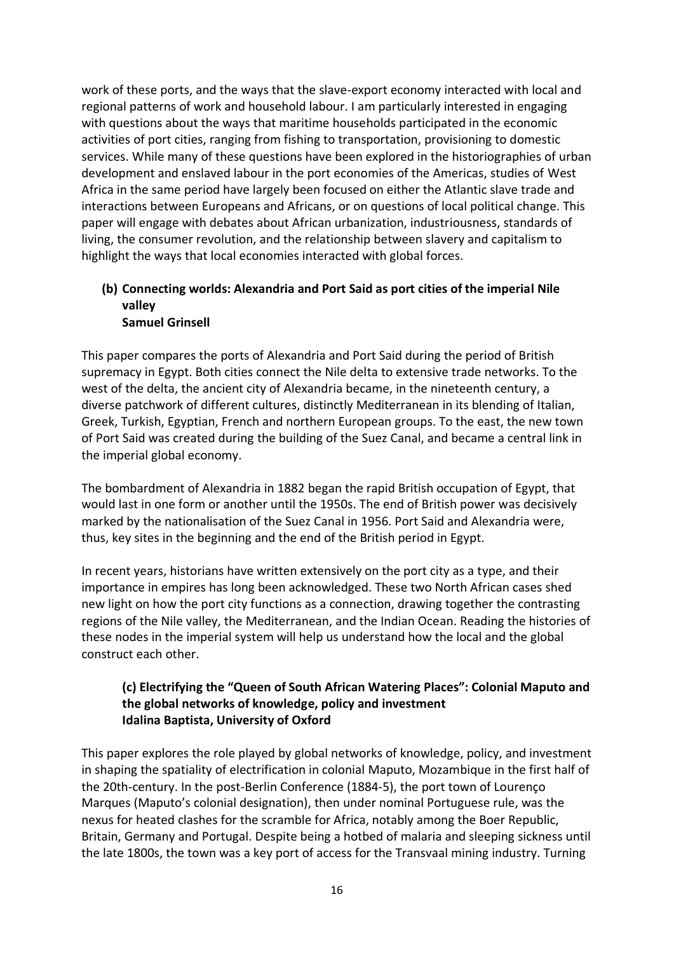work of these ports, and the ways that the slave-export economy interacted with local and regional patterns of work and household labour. I am particularly interested in engaging with questions about the ways that maritime households participated in the economic activities of port cities, ranging from fishing to transportation, provisioning to domestic services. While many of these questions have been explored in the historiographies of urban development and enslaved labour in the port economies of the Americas, studies of West Africa in the same period have largely been focused on either the Atlantic slave trade and interactions between Europeans and Africans, or on questions of local political change. This paper will engage with debates about African urbanization, industriousness, standards of living, the consumer revolution, and the relationship between slavery and capitalism to highlight the ways that local economies interacted with global forces.

# **(b) Connecting worlds: Alexandria and Port Said as port cities of the imperial Nile valley**

## **Samuel Grinsell**

This paper compares the ports of Alexandria and Port Said during the period of British supremacy in Egypt. Both cities connect the Nile delta to extensive trade networks. To the west of the delta, the ancient city of Alexandria became, in the nineteenth century, a diverse patchwork of different cultures, distinctly Mediterranean in its blending of Italian, Greek, Turkish, Egyptian, French and northern European groups. To the east, the new town of Port Said was created during the building of the Suez Canal, and became a central link in the imperial global economy.

The bombardment of Alexandria in 1882 began the rapid British occupation of Egypt, that would last in one form or another until the 1950s. The end of British power was decisively marked by the nationalisation of the Suez Canal in 1956. Port Said and Alexandria were, thus, key sites in the beginning and the end of the British period in Egypt.

In recent years, historians have written extensively on the port city as a type, and their importance in empires has long been acknowledged. These two North African cases shed new light on how the port city functions as a connection, drawing together the contrasting regions of the Nile valley, the Mediterranean, and the Indian Ocean. Reading the histories of these nodes in the imperial system will help us understand how the local and the global construct each other.

## **(c) Electrifying the "Queen of South African Watering Places": Colonial Maputo and the global networks of knowledge, policy and investment Idalina Baptista, University of Oxford**

This paper explores the role played by global networks of knowledge, policy, and investment in shaping the spatiality of electrification in colonial Maputo, Mozambique in the first half of the 20th-century. In the post-Berlin Conference (1884-5), the port town of Lourenço Marques (Maputo's colonial designation), then under nominal Portuguese rule, was the nexus for heated clashes for the scramble for Africa, notably among the Boer Republic, Britain, Germany and Portugal. Despite being a hotbed of malaria and sleeping sickness until the late 1800s, the town was a key port of access for the Transvaal mining industry. Turning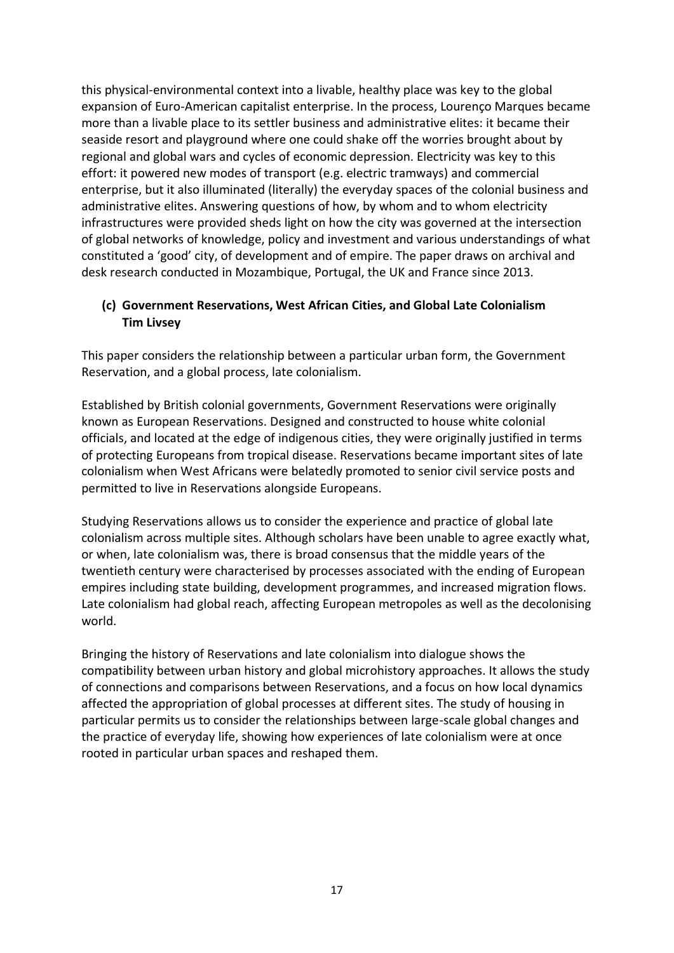this physical-environmental context into a livable, healthy place was key to the global expansion of Euro-American capitalist enterprise. In the process, Lourenço Marques became more than a livable place to its settler business and administrative elites: it became their seaside resort and playground where one could shake off the worries brought about by regional and global wars and cycles of economic depression. Electricity was key to this effort: it powered new modes of transport (e.g. electric tramways) and commercial enterprise, but it also illuminated (literally) the everyday spaces of the colonial business and administrative elites. Answering questions of how, by whom and to whom electricity infrastructures were provided sheds light on how the city was governed at the intersection of global networks of knowledge, policy and investment and various understandings of what constituted a 'good' city, of development and of empire. The paper draws on archival and desk research conducted in Mozambique, Portugal, the UK and France since 2013.

## **(c) Government Reservations, West African Cities, and Global Late Colonialism Tim Livsey**

This paper considers the relationship between a particular urban form, the Government Reservation, and a global process, late colonialism.

Established by British colonial governments, Government Reservations were originally known as European Reservations. Designed and constructed to house white colonial officials, and located at the edge of indigenous cities, they were originally justified in terms of protecting Europeans from tropical disease. Reservations became important sites of late colonialism when West Africans were belatedly promoted to senior civil service posts and permitted to live in Reservations alongside Europeans.

Studying Reservations allows us to consider the experience and practice of global late colonialism across multiple sites. Although scholars have been unable to agree exactly what, or when, late colonialism was, there is broad consensus that the middle years of the twentieth century were characterised by processes associated with the ending of European empires including state building, development programmes, and increased migration flows. Late colonialism had global reach, affecting European metropoles as well as the decolonising world.

Bringing the history of Reservations and late colonialism into dialogue shows the compatibility between urban history and global microhistory approaches. It allows the study of connections and comparisons between Reservations, and a focus on how local dynamics affected the appropriation of global processes at different sites. The study of housing in particular permits us to consider the relationships between large-scale global changes and the practice of everyday life, showing how experiences of late colonialism were at once rooted in particular urban spaces and reshaped them.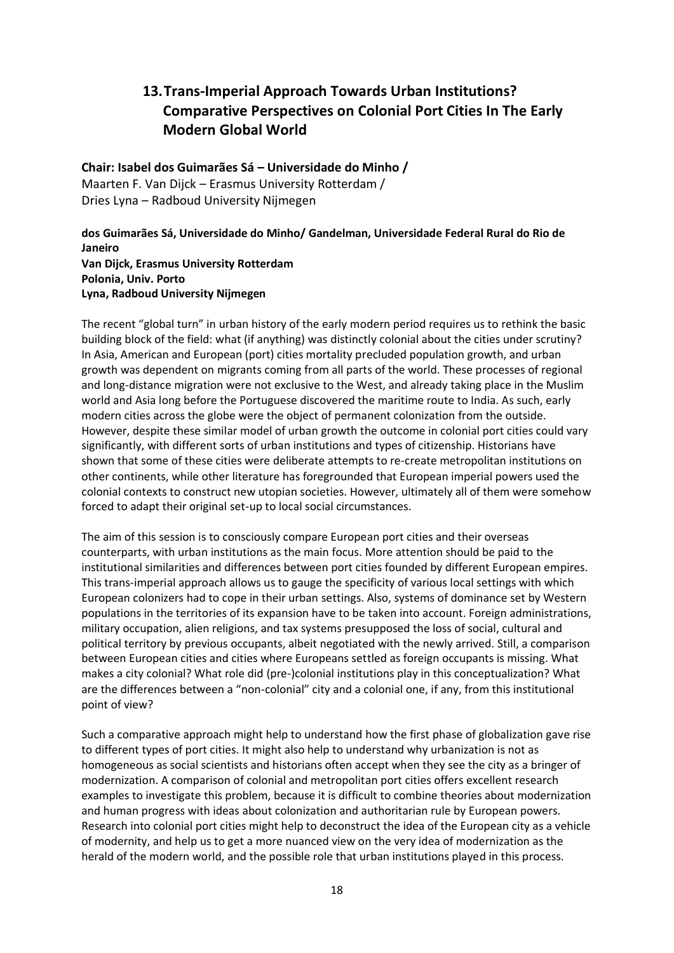# **13.Trans-Imperial Approach Towards Urban Institutions? Comparative Perspectives on Colonial Port Cities In The Early Modern Global World**

**Chair: Isabel dos Guimarães Sá – Universidade do Minho /**  Maarten F. Van Dijck – Erasmus University Rotterdam / Dries Lyna – Radboud University Nijmegen

**dos Guimarães Sá, Universidade do Minho/ Gandelman, Universidade Federal Rural do Rio de Janeiro Van Dijck, Erasmus University Rotterdam Polonia, Univ. Porto Lyna, Radboud University Nijmegen**

The recent "global turn" in urban history of the early modern period requires us to rethink the basic building block of the field: what (if anything) was distinctly colonial about the cities under scrutiny? In Asia, American and European (port) cities mortality precluded population growth, and urban growth was dependent on migrants coming from all parts of the world. These processes of regional and long-distance migration were not exclusive to the West, and already taking place in the Muslim world and Asia long before the Portuguese discovered the maritime route to India. As such, early modern cities across the globe were the object of permanent colonization from the outside. However, despite these similar model of urban growth the outcome in colonial port cities could vary significantly, with different sorts of urban institutions and types of citizenship. Historians have shown that some of these cities were deliberate attempts to re-create metropolitan institutions on other continents, while other literature has foregrounded that European imperial powers used the colonial contexts to construct new utopian societies. However, ultimately all of them were somehow forced to adapt their original set-up to local social circumstances.

The aim of this session is to consciously compare European port cities and their overseas counterparts, with urban institutions as the main focus. More attention should be paid to the institutional similarities and differences between port cities founded by different European empires. This trans-imperial approach allows us to gauge the specificity of various local settings with which European colonizers had to cope in their urban settings. Also, systems of dominance set by Western populations in the territories of its expansion have to be taken into account. Foreign administrations, military occupation, alien religions, and tax systems presupposed the loss of social, cultural and political territory by previous occupants, albeit negotiated with the newly arrived. Still, a comparison between European cities and cities where Europeans settled as foreign occupants is missing. What makes a city colonial? What role did (pre-)colonial institutions play in this conceptualization? What are the differences between a "non-colonial" city and a colonial one, if any, from this institutional point of view?

Such a comparative approach might help to understand how the first phase of globalization gave rise to different types of port cities. It might also help to understand why urbanization is not as homogeneous as social scientists and historians often accept when they see the city as a bringer of modernization. A comparison of colonial and metropolitan port cities offers excellent research examples to investigate this problem, because it is difficult to combine theories about modernization and human progress with ideas about colonization and authoritarian rule by European powers. Research into colonial port cities might help to deconstruct the idea of the European city as a vehicle of modernity, and help us to get a more nuanced view on the very idea of modernization as the herald of the modern world, and the possible role that urban institutions played in this process.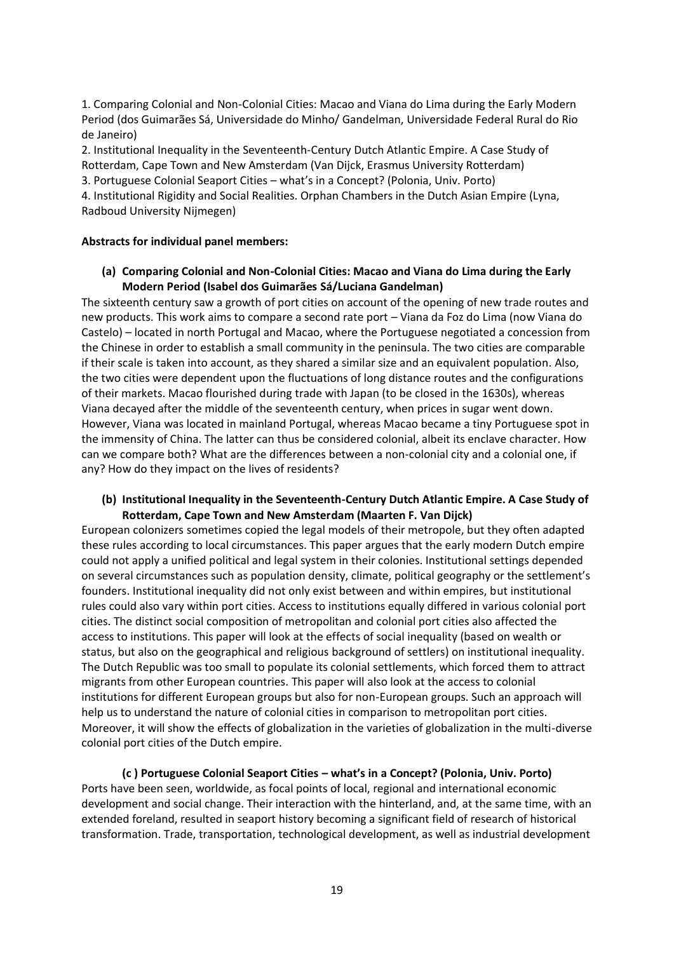1. Comparing Colonial and Non-Colonial Cities: Macao and Viana do Lima during the Early Modern Period (dos Guimarães Sá, Universidade do Minho/ Gandelman, Universidade Federal Rural do Rio de Janeiro)

2. Institutional Inequality in the Seventeenth-Century Dutch Atlantic Empire. A Case Study of Rotterdam, Cape Town and New Amsterdam (Van Dijck, Erasmus University Rotterdam)

3. Portuguese Colonial Seaport Cities – what's in a Concept? (Polonia, Univ. Porto)

4. Institutional Rigidity and Social Realities. Orphan Chambers in the Dutch Asian Empire (Lyna, Radboud University Nijmegen)

## **Abstracts for individual panel members:**

### **(a) Comparing Colonial and Non-Colonial Cities: Macao and Viana do Lima during the Early Modern Period (Isabel dos Guimarães Sá/Luciana Gandelman)**

The sixteenth century saw a growth of port cities on account of the opening of new trade routes and new products. This work aims to compare a second rate port – Viana da Foz do Lima (now Viana do Castelo) – located in north Portugal and Macao, where the Portuguese negotiated a concession from the Chinese in order to establish a small community in the peninsula. The two cities are comparable if their scale is taken into account, as they shared a similar size and an equivalent population. Also, the two cities were dependent upon the fluctuations of long distance routes and the configurations of their markets. Macao flourished during trade with Japan (to be closed in the 1630s), whereas Viana decayed after the middle of the seventeenth century, when prices in sugar went down. However, Viana was located in mainland Portugal, whereas Macao became a tiny Portuguese spot in the immensity of China. The latter can thus be considered colonial, albeit its enclave character. How can we compare both? What are the differences between a non-colonial city and a colonial one, if any? How do they impact on the lives of residents?

### **(b) Institutional Inequality in the Seventeenth-Century Dutch Atlantic Empire. A Case Study of Rotterdam, Cape Town and New Amsterdam (Maarten F. Van Dijck)**

European colonizers sometimes copied the legal models of their metropole, but they often adapted these rules according to local circumstances. This paper argues that the early modern Dutch empire could not apply a unified political and legal system in their colonies. Institutional settings depended on several circumstances such as population density, climate, political geography or the settlement's founders. Institutional inequality did not only exist between and within empires, but institutional rules could also vary within port cities. Access to institutions equally differed in various colonial port cities. The distinct social composition of metropolitan and colonial port cities also affected the access to institutions. This paper will look at the effects of social inequality (based on wealth or status, but also on the geographical and religious background of settlers) on institutional inequality. The Dutch Republic was too small to populate its colonial settlements, which forced them to attract migrants from other European countries. This paper will also look at the access to colonial institutions for different European groups but also for non-European groups. Such an approach will help us to understand the nature of colonial cities in comparison to metropolitan port cities. Moreover, it will show the effects of globalization in the varieties of globalization in the multi-diverse colonial port cities of the Dutch empire.

**(c ) Portuguese Colonial Seaport Cities – what's in a Concept? (Polonia, Univ. Porto)** Ports have been seen, worldwide, as focal points of local, regional and international economic development and social change. Their interaction with the hinterland, and, at the same time, with an extended foreland, resulted in seaport history becoming a significant field of research of historical transformation. Trade, transportation, technological development, as well as industrial development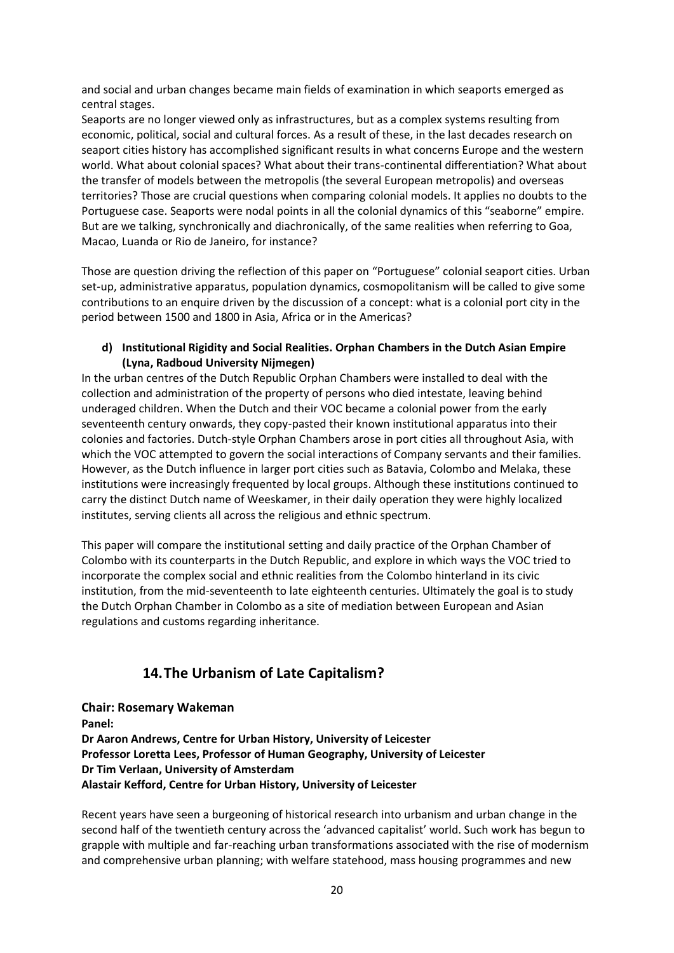and social and urban changes became main fields of examination in which seaports emerged as central stages.

Seaports are no longer viewed only as infrastructures, but as a complex systems resulting from economic, political, social and cultural forces. As a result of these, in the last decades research on seaport cities history has accomplished significant results in what concerns Europe and the western world. What about colonial spaces? What about their trans-continental differentiation? What about the transfer of models between the metropolis (the several European metropolis) and overseas territories? Those are crucial questions when comparing colonial models. It applies no doubts to the Portuguese case. Seaports were nodal points in all the colonial dynamics of this "seaborne" empire. But are we talking, synchronically and diachronically, of the same realities when referring to Goa, Macao, Luanda or Rio de Janeiro, for instance?

Those are question driving the reflection of this paper on "Portuguese" colonial seaport cities. Urban set-up, administrative apparatus, population dynamics, cosmopolitanism will be called to give some contributions to an enquire driven by the discussion of a concept: what is a colonial port city in the period between 1500 and 1800 in Asia, Africa or in the Americas?

### **d) Institutional Rigidity and Social Realities. Orphan Chambers in the Dutch Asian Empire (Lyna, Radboud University Nijmegen)**

In the urban centres of the Dutch Republic Orphan Chambers were installed to deal with the collection and administration of the property of persons who died intestate, leaving behind underaged children. When the Dutch and their VOC became a colonial power from the early seventeenth century onwards, they copy-pasted their known institutional apparatus into their colonies and factories. Dutch-style Orphan Chambers arose in port cities all throughout Asia, with which the VOC attempted to govern the social interactions of Company servants and their families. However, as the Dutch influence in larger port cities such as Batavia, Colombo and Melaka, these institutions were increasingly frequented by local groups. Although these institutions continued to carry the distinct Dutch name of Weeskamer, in their daily operation they were highly localized institutes, serving clients all across the religious and ethnic spectrum.

This paper will compare the institutional setting and daily practice of the Orphan Chamber of Colombo with its counterparts in the Dutch Republic, and explore in which ways the VOC tried to incorporate the complex social and ethnic realities from the Colombo hinterland in its civic institution, from the mid-seventeenth to late eighteenth centuries. Ultimately the goal is to study the Dutch Orphan Chamber in Colombo as a site of mediation between European and Asian regulations and customs regarding inheritance.

## **14.The Urbanism of Late Capitalism?**

**Chair: Rosemary Wakeman Panel: Dr Aaron Andrews, Centre for Urban History, University of Leicester Professor Loretta Lees, Professor of Human Geography, University of Leicester Dr Tim Verlaan, University of Amsterdam Alastair Kefford, Centre for Urban History, University of Leicester**

Recent years have seen a burgeoning of historical research into urbanism and urban change in the second half of the twentieth century across the 'advanced capitalist' world. Such work has begun to grapple with multiple and far-reaching urban transformations associated with the rise of modernism and comprehensive urban planning; with welfare statehood, mass housing programmes and new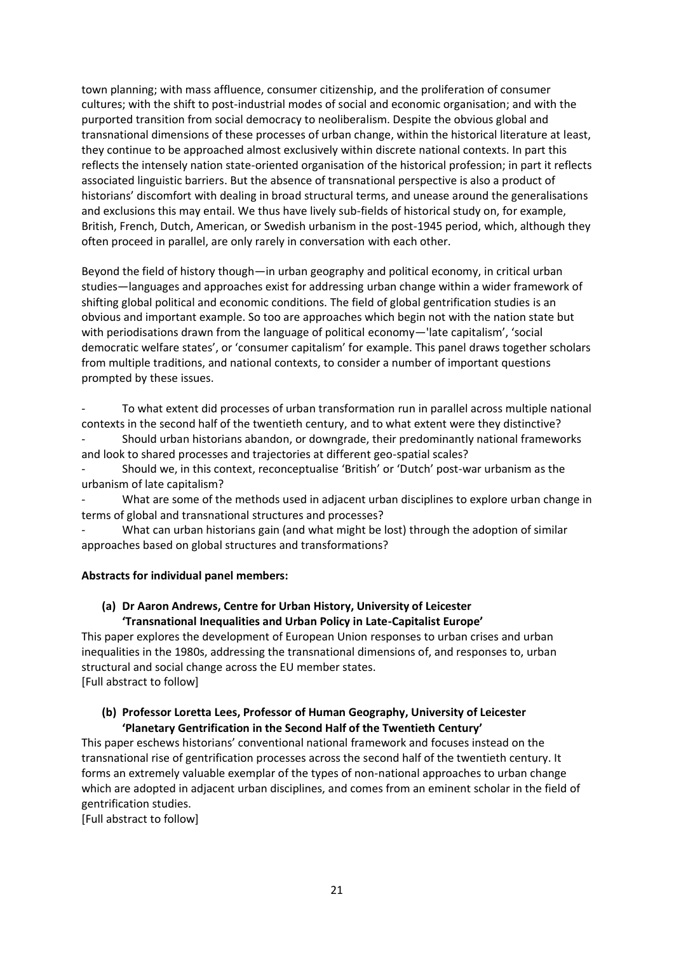town planning; with mass affluence, consumer citizenship, and the proliferation of consumer cultures; with the shift to post-industrial modes of social and economic organisation; and with the purported transition from social democracy to neoliberalism. Despite the obvious global and transnational dimensions of these processes of urban change, within the historical literature at least, they continue to be approached almost exclusively within discrete national contexts. In part this reflects the intensely nation state-oriented organisation of the historical profession; in part it reflects associated linguistic barriers. But the absence of transnational perspective is also a product of historians' discomfort with dealing in broad structural terms, and unease around the generalisations and exclusions this may entail. We thus have lively sub-fields of historical study on, for example, British, French, Dutch, American, or Swedish urbanism in the post-1945 period, which, although they often proceed in parallel, are only rarely in conversation with each other.

Beyond the field of history though—in urban geography and political economy, in critical urban studies—languages and approaches exist for addressing urban change within a wider framework of shifting global political and economic conditions. The field of global gentrification studies is an obvious and important example. So too are approaches which begin not with the nation state but with periodisations drawn from the language of political economy—'late capitalism', 'social democratic welfare states', or 'consumer capitalism' for example. This panel draws together scholars from multiple traditions, and national contexts, to consider a number of important questions prompted by these issues.

- To what extent did processes of urban transformation run in parallel across multiple national contexts in the second half of the twentieth century, and to what extent were they distinctive? - Should urban historians abandon, or downgrade, their predominantly national frameworks and look to shared processes and trajectories at different geo-spatial scales?

- Should we, in this context, reconceptualise 'British' or 'Dutch' post-war urbanism as the urbanism of late capitalism?

What are some of the methods used in adjacent urban disciplines to explore urban change in terms of global and transnational structures and processes?

What can urban historians gain (and what might be lost) through the adoption of similar approaches based on global structures and transformations?

#### **Abstracts for individual panel members:**

## **(a) Dr Aaron Andrews, Centre for Urban History, University of Leicester 'Transnational Inequalities and Urban Policy in Late-Capitalist Europe'**

This paper explores the development of European Union responses to urban crises and urban inequalities in the 1980s, addressing the transnational dimensions of, and responses to, urban structural and social change across the EU member states. [Full abstract to follow]

### **(b) Professor Loretta Lees, Professor of Human Geography, University of Leicester 'Planetary Gentrification in the Second Half of the Twentieth Century'**

This paper eschews historians' conventional national framework and focuses instead on the transnational rise of gentrification processes across the second half of the twentieth century. It forms an extremely valuable exemplar of the types of non-national approaches to urban change which are adopted in adjacent urban disciplines, and comes from an eminent scholar in the field of gentrification studies.

[Full abstract to follow]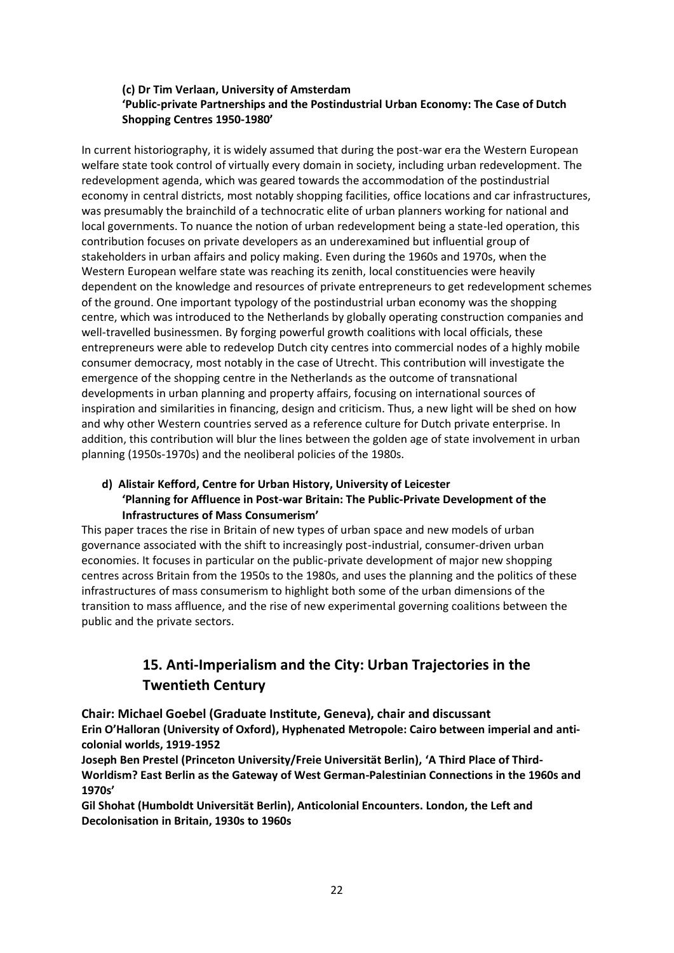## **(c) Dr Tim Verlaan, University of Amsterdam 'Public-private Partnerships and the Postindustrial Urban Economy: The Case of Dutch Shopping Centres 1950-1980'**

In current historiography, it is widely assumed that during the post-war era the Western European welfare state took control of virtually every domain in society, including urban redevelopment. The redevelopment agenda, which was geared towards the accommodation of the postindustrial economy in central districts, most notably shopping facilities, office locations and car infrastructures, was presumably the brainchild of a technocratic elite of urban planners working for national and local governments. To nuance the notion of urban redevelopment being a state-led operation, this contribution focuses on private developers as an underexamined but influential group of stakeholders in urban affairs and policy making. Even during the 1960s and 1970s, when the Western European welfare state was reaching its zenith, local constituencies were heavily dependent on the knowledge and resources of private entrepreneurs to get redevelopment schemes of the ground. One important typology of the postindustrial urban economy was the shopping centre, which was introduced to the Netherlands by globally operating construction companies and well-travelled businessmen. By forging powerful growth coalitions with local officials, these entrepreneurs were able to redevelop Dutch city centres into commercial nodes of a highly mobile consumer democracy, most notably in the case of Utrecht. This contribution will investigate the emergence of the shopping centre in the Netherlands as the outcome of transnational developments in urban planning and property affairs, focusing on international sources of inspiration and similarities in financing, design and criticism. Thus, a new light will be shed on how and why other Western countries served as a reference culture for Dutch private enterprise. In addition, this contribution will blur the lines between the golden age of state involvement in urban planning (1950s-1970s) and the neoliberal policies of the 1980s.

#### **d) Alistair Kefford, Centre for Urban History, University of Leicester 'Planning for Affluence in Post-war Britain: The Public-Private Development of the**

#### **Infrastructures of Mass Consumerism'**

This paper traces the rise in Britain of new types of urban space and new models of urban governance associated with the shift to increasingly post-industrial, consumer-driven urban economies. It focuses in particular on the public-private development of major new shopping centres across Britain from the 1950s to the 1980s, and uses the planning and the politics of these infrastructures of mass consumerism to highlight both some of the urban dimensions of the transition to mass affluence, and the rise of new experimental governing coalitions between the public and the private sectors.

# **15. Anti-Imperialism and the City: Urban Trajectories in the Twentieth Century**

**Chair: Michael Goebel (Graduate Institute, Geneva), chair and discussant Erin O'Halloran (University of Oxford), Hyphenated Metropole: Cairo between imperial and anticolonial worlds, 1919-1952**

**Joseph Ben Prestel (Princeton University/Freie Universität Berlin), 'A Third Place of Third-Worldism? East Berlin as the Gateway of West German-Palestinian Connections in the 1960s and 1970s'**

**Gil Shohat (Humboldt Universität Berlin), Anticolonial Encounters. London, the Left and Decolonisation in Britain, 1930s to 1960s**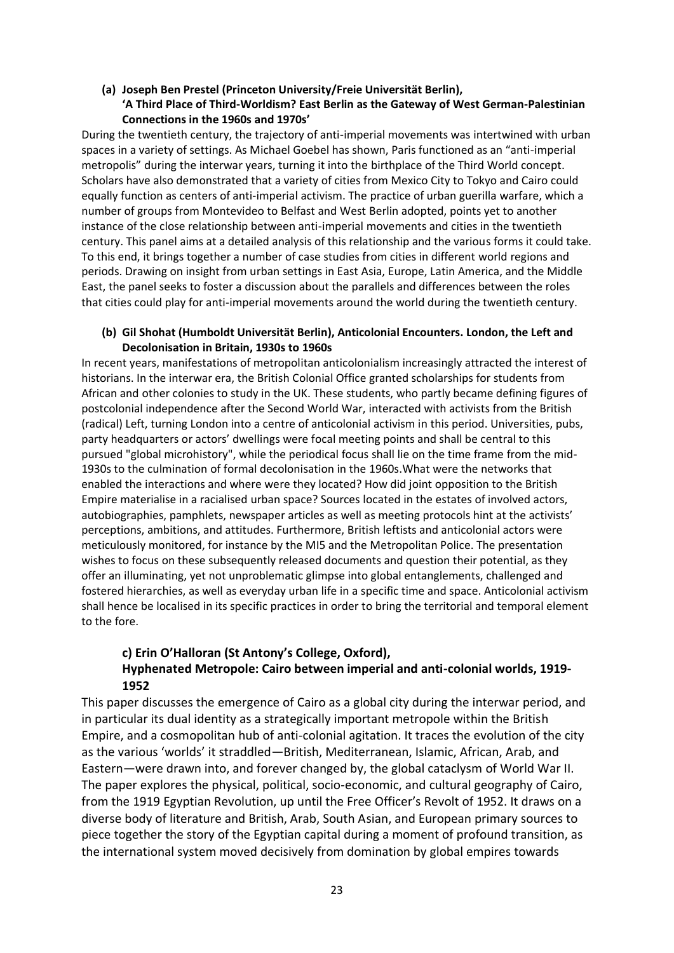## **(a) Joseph Ben Prestel (Princeton University/Freie Universität Berlin), 'A Third Place of Third-Worldism? East Berlin as the Gateway of West German-Palestinian Connections in the 1960s and 1970s'**

During the twentieth century, the trajectory of anti-imperial movements was intertwined with urban spaces in a variety of settings. As Michael Goebel has shown, Paris functioned as an "anti-imperial metropolis" during the interwar years, turning it into the birthplace of the Third World concept. Scholars have also demonstrated that a variety of cities from Mexico City to Tokyo and Cairo could equally function as centers of anti-imperial activism. The practice of urban guerilla warfare, which a number of groups from Montevideo to Belfast and West Berlin adopted, points yet to another instance of the close relationship between anti-imperial movements and cities in the twentieth century. This panel aims at a detailed analysis of this relationship and the various forms it could take. To this end, it brings together a number of case studies from cities in different world regions and periods. Drawing on insight from urban settings in East Asia, Europe, Latin America, and the Middle East, the panel seeks to foster a discussion about the parallels and differences between the roles that cities could play for anti-imperial movements around the world during the twentieth century.

### **(b) Gil Shohat (Humboldt Universität Berlin), Anticolonial Encounters. London, the Left and Decolonisation in Britain, 1930s to 1960s**

In recent years, manifestations of metropolitan anticolonialism increasingly attracted the interest of historians. In the interwar era, the British Colonial Office granted scholarships for students from African and other colonies to study in the UK. These students, who partly became defining figures of postcolonial independence after the Second World War, interacted with activists from the British (radical) Left, turning London into a centre of anticolonial activism in this period. Universities, pubs, party headquarters or actors' dwellings were focal meeting points and shall be central to this pursued "global microhistory", while the periodical focus shall lie on the time frame from the mid-1930s to the culmination of formal decolonisation in the 1960s.What were the networks that enabled the interactions and where were they located? How did joint opposition to the British Empire materialise in a racialised urban space? Sources located in the estates of involved actors, autobiographies, pamphlets, newspaper articles as well as meeting protocols hint at the activists' perceptions, ambitions, and attitudes. Furthermore, British leftists and anticolonial actors were meticulously monitored, for instance by the MI5 and the Metropolitan Police. The presentation wishes to focus on these subsequently released documents and question their potential, as they offer an illuminating, yet not unproblematic glimpse into global entanglements, challenged and fostered hierarchies, as well as everyday urban life in a specific time and space. Anticolonial activism shall hence be localised in its specific practices in order to bring the territorial and temporal element to the fore.

## **c) Erin O'Halloran (St Antony's College, Oxford), Hyphenated Metropole: Cairo between imperial and anti-colonial worlds, 1919- 1952**

This paper discusses the emergence of Cairo as a global city during the interwar period, and in particular its dual identity as a strategically important metropole within the British Empire, and a cosmopolitan hub of anti-colonial agitation. It traces the evolution of the city as the various 'worlds' it straddled—British, Mediterranean, Islamic, African, Arab, and Eastern—were drawn into, and forever changed by, the global cataclysm of World War II. The paper explores the physical, political, socio-economic, and cultural geography of Cairo, from the 1919 Egyptian Revolution, up until the Free Officer's Revolt of 1952. It draws on a diverse body of literature and British, Arab, South Asian, and European primary sources to piece together the story of the Egyptian capital during a moment of profound transition, as the international system moved decisively from domination by global empires towards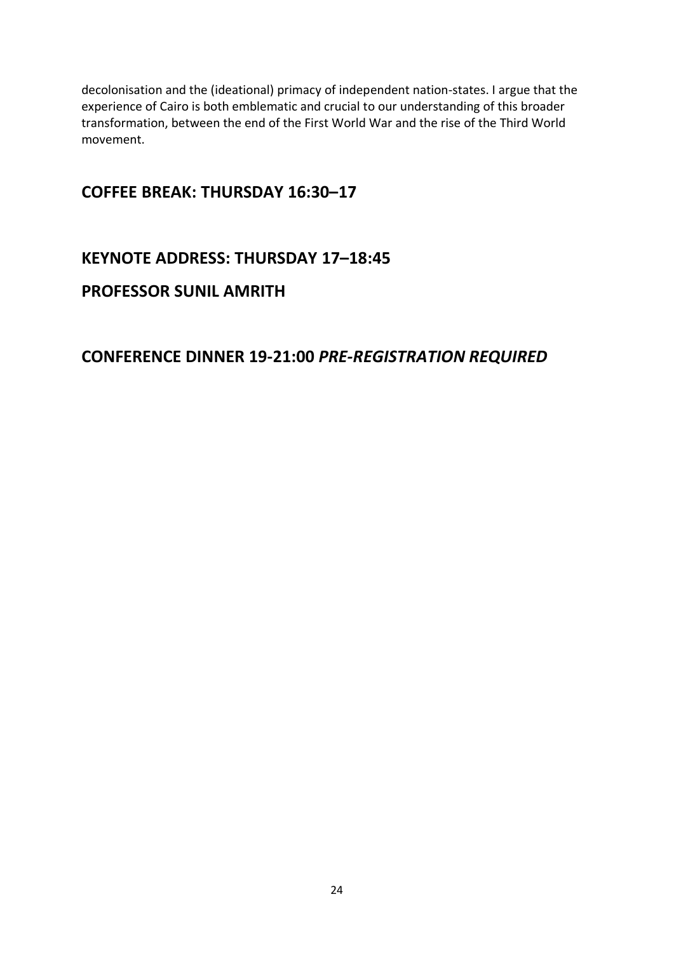decolonisation and the (ideational) primacy of independent nation-states. I argue that the experience of Cairo is both emblematic and crucial to our understanding of this broader transformation, between the end of the First World War and the rise of the Third World movement.

# **COFFEE BREAK: THURSDAY 16:30–17**

# **KEYNOTE ADDRESS: THURSDAY 17–18:45**

# **PROFESSOR SUNIL AMRITH**

# **CONFERENCE DINNER 19-21:00** *PRE-REGISTRATION REQUIRED*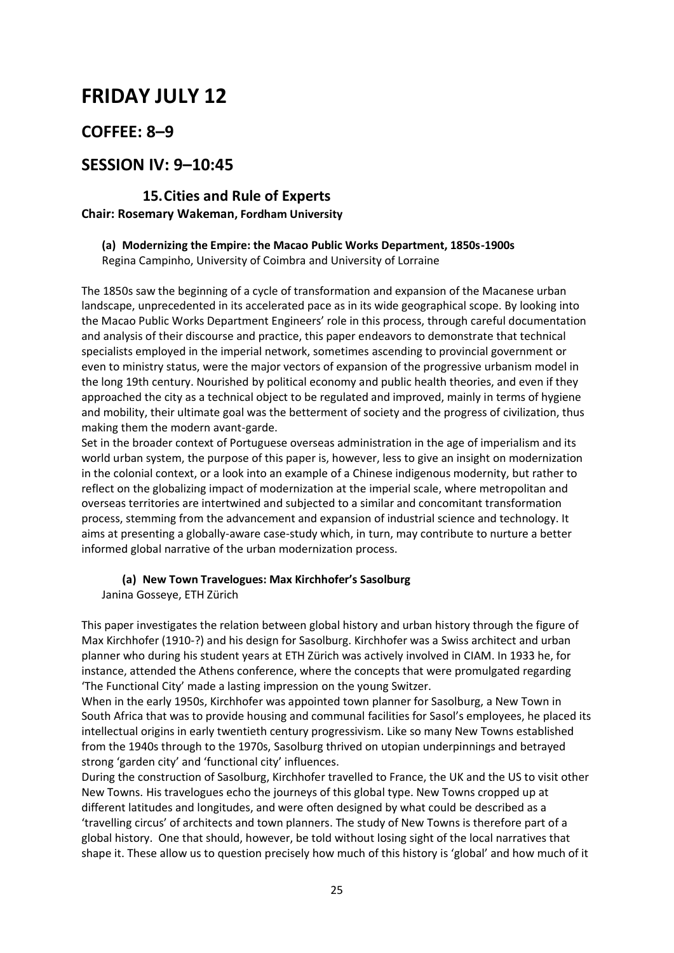# **FRIDAY JULY 12**

# **COFFEE: 8–9**

# **SESSION IV: 9–10:45**

## **15.Cities and Rule of Experts Chair: Rosemary Wakeman, Fordham University**

# **(a) Modernizing the Empire: the Macao Public Works Department, 1850s-1900s**

Regina Campinho, University of Coimbra and University of Lorraine

The 1850s saw the beginning of a cycle of transformation and expansion of the Macanese urban landscape, unprecedented in its accelerated pace as in its wide geographical scope. By looking into the Macao Public Works Department Engineers' role in this process, through careful documentation and analysis of their discourse and practice, this paper endeavors to demonstrate that technical specialists employed in the imperial network, sometimes ascending to provincial government or even to ministry status, were the major vectors of expansion of the progressive urbanism model in the long 19th century. Nourished by political economy and public health theories, and even if they approached the city as a technical object to be regulated and improved, mainly in terms of hygiene and mobility, their ultimate goal was the betterment of society and the progress of civilization, thus making them the modern avant-garde.

Set in the broader context of Portuguese overseas administration in the age of imperialism and its world urban system, the purpose of this paper is, however, less to give an insight on modernization in the colonial context, or a look into an example of a Chinese indigenous modernity, but rather to reflect on the globalizing impact of modernization at the imperial scale, where metropolitan and overseas territories are intertwined and subjected to a similar and concomitant transformation process, stemming from the advancement and expansion of industrial science and technology. It aims at presenting a globally-aware case-study which, in turn, may contribute to nurture a better informed global narrative of the urban modernization process.

# **(a) New Town Travelogues: Max Kirchhofer's Sasolburg**

Janina Gosseye, ETH Zürich

This paper investigates the relation between global history and urban history through the figure of Max Kirchhofer (1910-?) and his design for Sasolburg. Kirchhofer was a Swiss architect and urban planner who during his student years at ETH Zürich was actively involved in CIAM. In 1933 he, for instance, attended the Athens conference, where the concepts that were promulgated regarding 'The Functional City' made a lasting impression on the young Switzer.

When in the early 1950s, Kirchhofer was appointed town planner for Sasolburg, a New Town in South Africa that was to provide housing and communal facilities for Sasol's employees, he placed its intellectual origins in early twentieth century progressivism. Like so many New Towns established from the 1940s through to the 1970s, Sasolburg thrived on utopian underpinnings and betrayed strong 'garden city' and 'functional city' influences.

During the construction of Sasolburg, Kirchhofer travelled to France, the UK and the US to visit other New Towns. His travelogues echo the journeys of this global type. New Towns cropped up at different latitudes and longitudes, and were often designed by what could be described as a 'travelling circus' of architects and town planners. The study of New Towns is therefore part of a global history. One that should, however, be told without losing sight of the local narratives that shape it. These allow us to question precisely how much of this history is 'global' and how much of it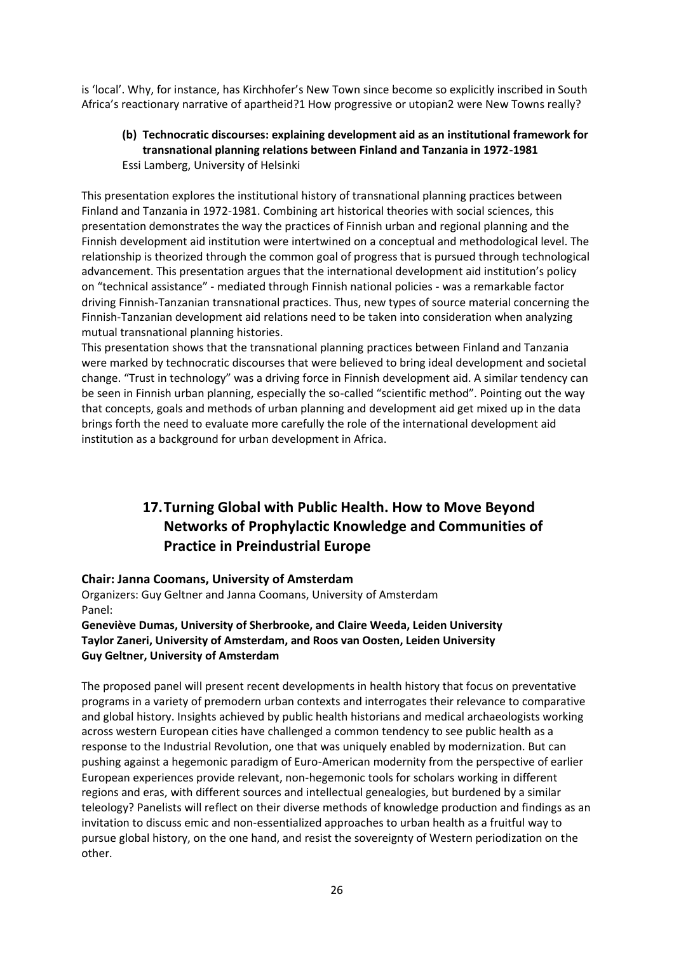is 'local'. Why, for instance, has Kirchhofer's New Town since become so explicitly inscribed in South Africa's reactionary narrative of apartheid?1 How progressive or utopian2 were New Towns really?

### **(b) Technocratic discourses: explaining development aid as an institutional framework for transnational planning relations between Finland and Tanzania in 1972-1981** Essi Lamberg, University of Helsinki

This presentation explores the institutional history of transnational planning practices between Finland and Tanzania in 1972-1981. Combining art historical theories with social sciences, this presentation demonstrates the way the practices of Finnish urban and regional planning and the Finnish development aid institution were intertwined on a conceptual and methodological level. The relationship is theorized through the common goal of progress that is pursued through technological advancement. This presentation argues that the international development aid institution's policy on "technical assistance" - mediated through Finnish national policies - was a remarkable factor driving Finnish-Tanzanian transnational practices. Thus, new types of source material concerning the Finnish-Tanzanian development aid relations need to be taken into consideration when analyzing mutual transnational planning histories.

This presentation shows that the transnational planning practices between Finland and Tanzania were marked by technocratic discourses that were believed to bring ideal development and societal change. "Trust in technology" was a driving force in Finnish development aid. A similar tendency can be seen in Finnish urban planning, especially the so-called "scientific method". Pointing out the way that concepts, goals and methods of urban planning and development aid get mixed up in the data brings forth the need to evaluate more carefully the role of the international development aid institution as a background for urban development in Africa.

# **17.Turning Global with Public Health. How to Move Beyond Networks of Prophylactic Knowledge and Communities of Practice in Preindustrial Europe**

## **Chair: Janna Coomans, University of Amsterdam**

Organizers: Guy Geltner and Janna Coomans, University of Amsterdam Panel:

### **Geneviève Dumas, University of Sherbrooke, and Claire Weeda, Leiden University Taylor Zaneri, University of Amsterdam, and Roos van Oosten, Leiden University Guy Geltner, University of Amsterdam**

The proposed panel will present recent developments in health history that focus on preventative programs in a variety of premodern urban contexts and interrogates their relevance to comparative and global history. Insights achieved by public health historians and medical archaeologists working across western European cities have challenged a common tendency to see public health as a response to the Industrial Revolution, one that was uniquely enabled by modernization. But can pushing against a hegemonic paradigm of Euro-American modernity from the perspective of earlier European experiences provide relevant, non-hegemonic tools for scholars working in different regions and eras, with different sources and intellectual genealogies, but burdened by a similar teleology? Panelists will reflect on their diverse methods of knowledge production and findings as an invitation to discuss emic and non-essentialized approaches to urban health as a fruitful way to pursue global history, on the one hand, and resist the sovereignty of Western periodization on the other.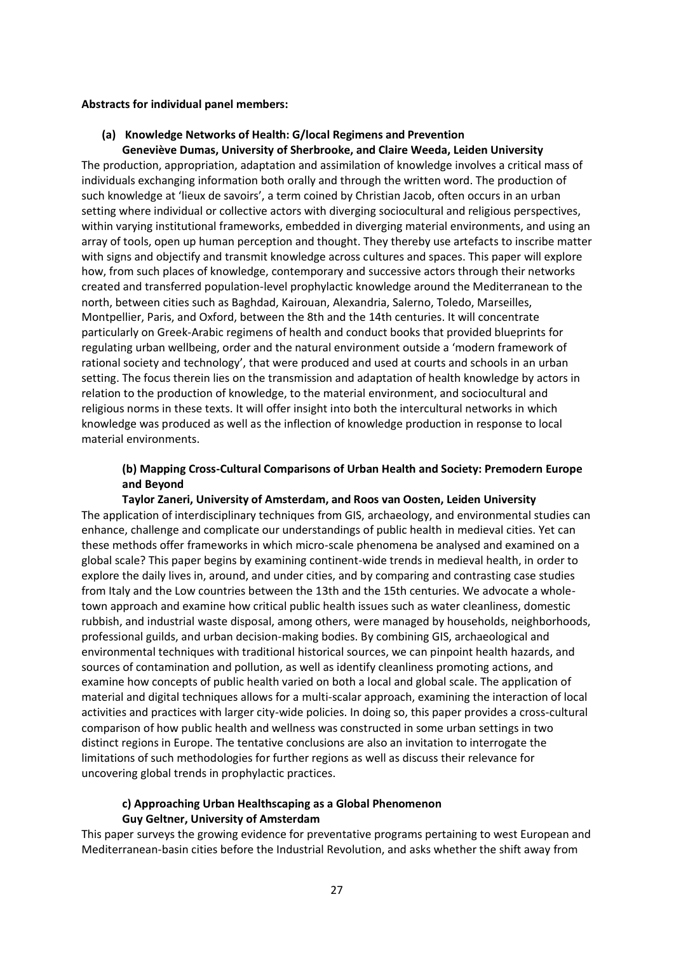#### **Abstracts for individual panel members:**

#### **(a) Knowledge Networks of Health: G/local Regimens and Prevention**

**Geneviève Dumas, University of Sherbrooke, and Claire Weeda, Leiden University** The production, appropriation, adaptation and assimilation of knowledge involves a critical mass of individuals exchanging information both orally and through the written word. The production of such knowledge at 'lieux de savoirs', a term coined by Christian Jacob, often occurs in an urban setting where individual or collective actors with diverging sociocultural and religious perspectives, within varying institutional frameworks, embedded in diverging material environments, and using an array of tools, open up human perception and thought. They thereby use artefacts to inscribe matter with signs and objectify and transmit knowledge across cultures and spaces. This paper will explore how, from such places of knowledge, contemporary and successive actors through their networks created and transferred population-level prophylactic knowledge around the Mediterranean to the north, between cities such as Baghdad, Kairouan, Alexandria, Salerno, Toledo, Marseilles, Montpellier, Paris, and Oxford, between the 8th and the 14th centuries. It will concentrate particularly on Greek-Arabic regimens of health and conduct books that provided blueprints for regulating urban wellbeing, order and the natural environment outside a 'modern framework of rational society and technology', that were produced and used at courts and schools in an urban setting. The focus therein lies on the transmission and adaptation of health knowledge by actors in relation to the production of knowledge, to the material environment, and sociocultural and religious norms in these texts. It will offer insight into both the intercultural networks in which knowledge was produced as well as the inflection of knowledge production in response to local material environments.

### **(b) Mapping Cross-Cultural Comparisons of Urban Health and Society: Premodern Europe and Beyond**

#### **Taylor Zaneri, University of Amsterdam, and Roos van Oosten, Leiden University**

The application of interdisciplinary techniques from GIS, archaeology, and environmental studies can enhance, challenge and complicate our understandings of public health in medieval cities. Yet can these methods offer frameworks in which micro-scale phenomena be analysed and examined on a global scale? This paper begins by examining continent-wide trends in medieval health, in order to explore the daily lives in, around, and under cities, and by comparing and contrasting case studies from Italy and the Low countries between the 13th and the 15th centuries. We advocate a wholetown approach and examine how critical public health issues such as water cleanliness, domestic rubbish, and industrial waste disposal, among others, were managed by households, neighborhoods, professional guilds, and urban decision-making bodies. By combining GIS, archaeological and environmental techniques with traditional historical sources, we can pinpoint health hazards, and sources of contamination and pollution, as well as identify cleanliness promoting actions, and examine how concepts of public health varied on both a local and global scale. The application of material and digital techniques allows for a multi-scalar approach, examining the interaction of local activities and practices with larger city-wide policies. In doing so, this paper provides a cross-cultural comparison of how public health and wellness was constructed in some urban settings in two distinct regions in Europe. The tentative conclusions are also an invitation to interrogate the limitations of such methodologies for further regions as well as discuss their relevance for uncovering global trends in prophylactic practices.

### **c) Approaching Urban Healthscaping as a Global Phenomenon Guy Geltner, University of Amsterdam**

This paper surveys the growing evidence for preventative programs pertaining to west European and Mediterranean-basin cities before the Industrial Revolution, and asks whether the shift away from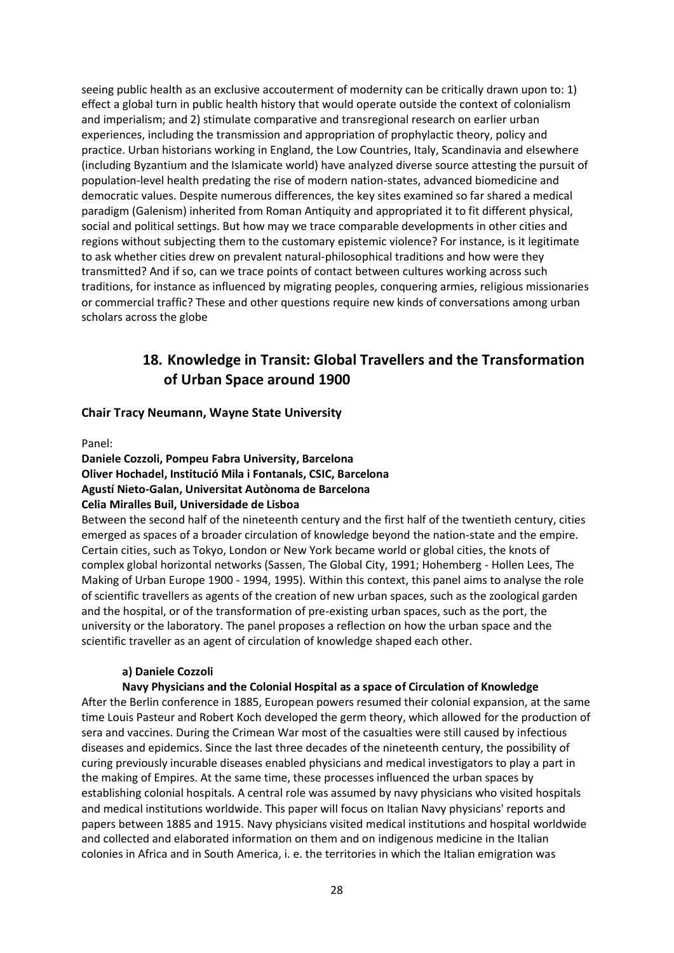seeing public health as an exclusive accouterment of modernity can be critically drawn upon to: 1) effect a global turn in public health history that would operate outside the context of colonialism and imperialism; and 2) stimulate comparative and transregional research on earlier urban experiences, including the transmission and appropriation of prophylactic theory, policy and practice. Urban historians working in England, the Low Countries, Italy, Scandinavia and elsewhere (including Byzantium and the Islamicate world) have analyzed diverse source attesting the pursuit of population-level health predating the rise of modern nation-states, advanced biomedicine and democratic values. Despite numerous differences, the key sites examined so far shared a medical paradigm (Galenism) inherited from Roman Antiquity and appropriated it to fit different physical, social and political settings. But how may we trace comparable developments in other cities and regions without subjecting them to the customary epistemic violence? For instance, is it legitimate to ask whether cities drew on prevalent natural-philosophical traditions and how were they transmitted? And if so, can we trace points of contact between cultures working across such traditions, for instance as influenced by migrating peoples, conquering armies, religious missionaries or commercial traffic? These and other questions require new kinds of conversations among urban scholars across the globe

## **18. Knowledge in Transit: Global Travellers and the Transformation of Urban Space around 1900**

## **Chair Tracy Neumann, Wayne State University**

#### Panel:

### **Daniele Cozzoli, Pompeu Fabra University, Barcelona Oliver Hochadel, Institució Mila i Fontanals, CSIC, Barcelona Agustí Nieto-Galan, Universitat Autònoma de Barcelona Celia Miralles Buil, Universidade de Lisboa**

Between the second half of the nineteenth century and the first half of the twentieth century, cities emerged as spaces of a broader circulation of knowledge beyond the nation-state and the empire. Certain cities, such as Tokyo, London or New York became world or global cities, the knots of complex global horizontal networks (Sassen, The Global City, 1991; Hohemberg - Hollen Lees, The Making of Urban Europe 1900 - 1994, 1995). Within this context, this panel aims to analyse the role of scientific travellers as agents of the creation of new urban spaces, such as the zoological garden and the hospital, or of the transformation of pre-existing urban spaces, such as the port, the university or the laboratory. The panel proposes a reflection on how the urban space and the scientific traveller as an agent of circulation of knowledge shaped each other.

## **a) Daniele Cozzoli**

## **Navy Physicians and the Colonial Hospital as a space of Circulation of Knowledge**

After the Berlin conference in 1885, European powers resumed their colonial expansion, at the same time Louis Pasteur and Robert Koch developed the germ theory, which allowed for the production of sera and vaccines. During the Crimean War most of the casualties were still caused by infectious diseases and epidemics. Since the last three decades of the nineteenth century, the possibility of curing previously incurable diseases enabled physicians and medical investigators to play a part in the making of Empires. At the same time, these processes influenced the urban spaces by establishing colonial hospitals. A central role was assumed by navy physicians who visited hospitals and medical institutions worldwide. This paper will focus on Italian Navy physicians' reports and papers between 1885 and 1915. Navy physicians visited medical institutions and hospital worldwide and collected and elaborated information on them and on indigenous medicine in the Italian colonies in Africa and in South America, i. e. the territories in which the Italian emigration was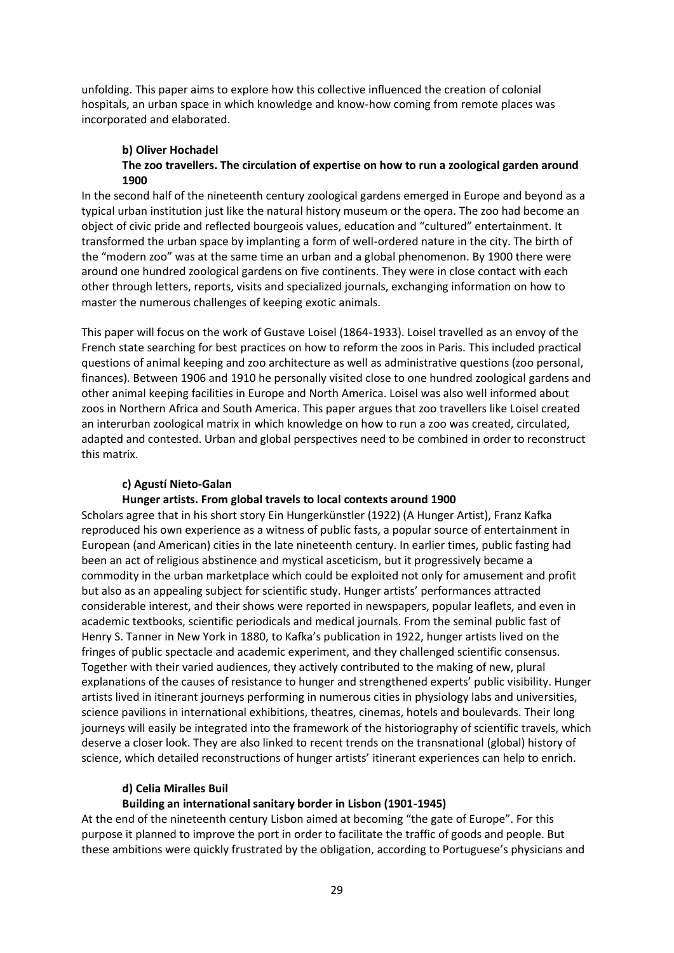unfolding. This paper aims to explore how this collective influenced the creation of colonial hospitals, an urban space in which knowledge and know-how coming from remote places was incorporated and elaborated.

#### **b) Oliver Hochadel The zoo travellers. The circulation of expertise on how to run a zoological garden around 1900**

In the second half of the nineteenth century zoological gardens emerged in Europe and beyond as a typical urban institution just like the natural history museum or the opera. The zoo had become an object of civic pride and reflected bourgeois values, education and "cultured" entertainment. It transformed the urban space by implanting a form of well-ordered nature in the city. The birth of the "modern zoo" was at the same time an urban and a global phenomenon. By 1900 there were around one hundred zoological gardens on five continents. They were in close contact with each other through letters, reports, visits and specialized journals, exchanging information on how to master the numerous challenges of keeping exotic animals.

This paper will focus on the work of Gustave Loisel (1864-1933). Loisel travelled as an envoy of the French state searching for best practices on how to reform the zoos in Paris. This included practical questions of animal keeping and zoo architecture as well as administrative questions (zoo personal, finances). Between 1906 and 1910 he personally visited close to one hundred zoological gardens and other animal keeping facilities in Europe and North America. Loisel was also well informed about zoos in Northern Africa and South America. This paper argues that zoo travellers like Loisel created an interurban zoological matrix in which knowledge on how to run a zoo was created, circulated, adapted and contested. Urban and global perspectives need to be combined in order to reconstruct this matrix.

## **c) Agustí Nieto-Galan**

#### **Hunger artists. From global travels to local contexts around 1900**

Scholars agree that in his short story Ein Hungerkünstler (1922) (A Hunger Artist), Franz Kafka reproduced his own experience as a witness of public fasts, a popular source of entertainment in European (and American) cities in the late nineteenth century. In earlier times, public fasting had been an act of religious abstinence and mystical asceticism, but it progressively became a commodity in the urban marketplace which could be exploited not only for amusement and profit but also as an appealing subject for scientific study. Hunger artists' performances attracted considerable interest, and their shows were reported in newspapers, popular leaflets, and even in academic textbooks, scientific periodicals and medical journals. From the seminal public fast of Henry S. Tanner in New York in 1880, to Kafka's publication in 1922, hunger artists lived on the fringes of public spectacle and academic experiment, and they challenged scientific consensus. Together with their varied audiences, they actively contributed to the making of new, plural explanations of the causes of resistance to hunger and strengthened experts' public visibility. Hunger artists lived in itinerant journeys performing in numerous cities in physiology labs and universities, science pavilions in international exhibitions, theatres, cinemas, hotels and boulevards. Their long journeys will easily be integrated into the framework of the historiography of scientific travels, which deserve a closer look. They are also linked to recent trends on the transnational (global) history of science, which detailed reconstructions of hunger artists' itinerant experiences can help to enrich.

#### **d) Celia Miralles Buil**

#### **Building an international sanitary border in Lisbon (1901-1945)**

At the end of the nineteenth century Lisbon aimed at becoming "the gate of Europe". For this purpose it planned to improve the port in order to facilitate the traffic of goods and people. But these ambitions were quickly frustrated by the obligation, according to Portuguese's physicians and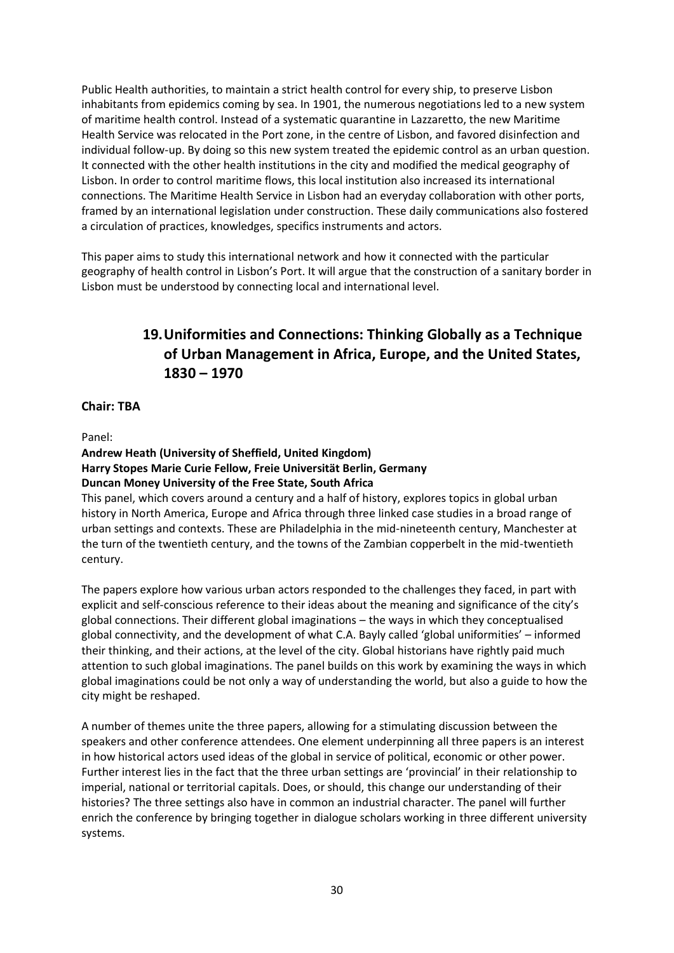Public Health authorities, to maintain a strict health control for every ship, to preserve Lisbon inhabitants from epidemics coming by sea. In 1901, the numerous negotiations led to a new system of maritime health control. Instead of a systematic quarantine in Lazzaretto, the new Maritime Health Service was relocated in the Port zone, in the centre of Lisbon, and favored disinfection and individual follow-up. By doing so this new system treated the epidemic control as an urban question. It connected with the other health institutions in the city and modified the medical geography of Lisbon. In order to control maritime flows, this local institution also increased its international connections. The Maritime Health Service in Lisbon had an everyday collaboration with other ports, framed by an international legislation under construction. These daily communications also fostered a circulation of practices, knowledges, specifics instruments and actors.

This paper aims to study this international network and how it connected with the particular geography of health control in Lisbon's Port. It will argue that the construction of a sanitary border in Lisbon must be understood by connecting local and international level.

# **19.Uniformities and Connections: Thinking Globally as a Technique of Urban Management in Africa, Europe, and the United States, 1830 – 1970**

## **Chair: TBA**

Panel:

## **Andrew Heath (University of Sheffield, United Kingdom) Harry Stopes Marie Curie Fellow, Freie Universität Berlin, Germany Duncan Money University of the Free State, South Africa**

This panel, which covers around a century and a half of history, explores topics in global urban history in North America, Europe and Africa through three linked case studies in a broad range of urban settings and contexts. These are Philadelphia in the mid-nineteenth century, Manchester at the turn of the twentieth century, and the towns of the Zambian copperbelt in the mid-twentieth century.

The papers explore how various urban actors responded to the challenges they faced, in part with explicit and self-conscious reference to their ideas about the meaning and significance of the city's global connections. Their different global imaginations – the ways in which they conceptualised global connectivity, and the development of what C.A. Bayly called 'global uniformities' – informed their thinking, and their actions, at the level of the city. Global historians have rightly paid much attention to such global imaginations. The panel builds on this work by examining the ways in which global imaginations could be not only a way of understanding the world, but also a guide to how the city might be reshaped.

A number of themes unite the three papers, allowing for a stimulating discussion between the speakers and other conference attendees. One element underpinning all three papers is an interest in how historical actors used ideas of the global in service of political, economic or other power. Further interest lies in the fact that the three urban settings are 'provincial' in their relationship to imperial, national or territorial capitals. Does, or should, this change our understanding of their histories? The three settings also have in common an industrial character. The panel will further enrich the conference by bringing together in dialogue scholars working in three different university systems.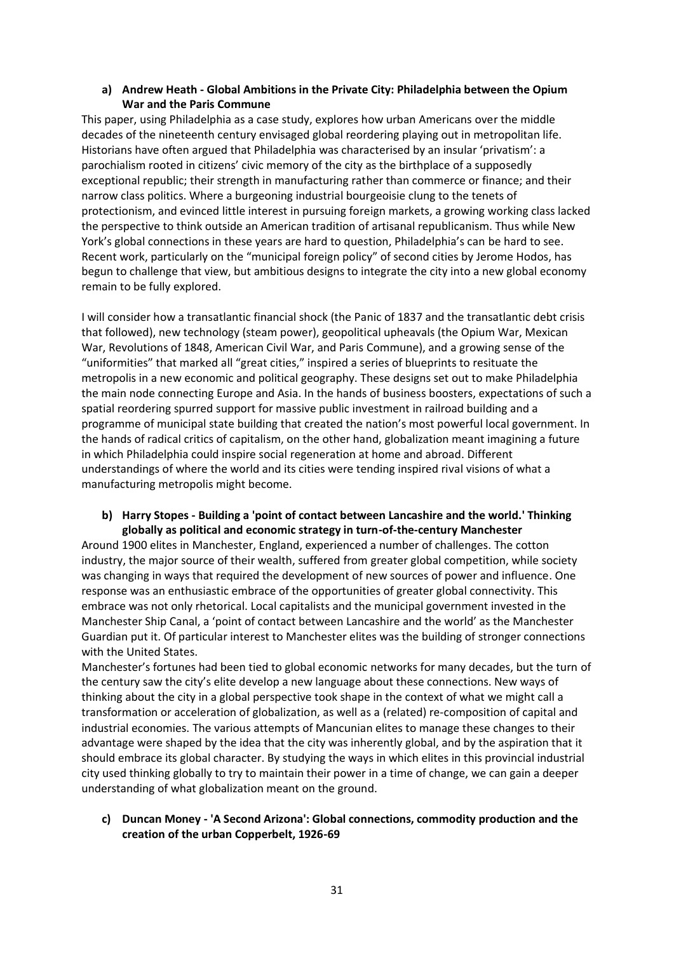## **a) Andrew Heath - Global Ambitions in the Private City: Philadelphia between the Opium War and the Paris Commune**

This paper, using Philadelphia as a case study, explores how urban Americans over the middle decades of the nineteenth century envisaged global reordering playing out in metropolitan life. Historians have often argued that Philadelphia was characterised by an insular 'privatism': a parochialism rooted in citizens' civic memory of the city as the birthplace of a supposedly exceptional republic; their strength in manufacturing rather than commerce or finance; and their narrow class politics. Where a burgeoning industrial bourgeoisie clung to the tenets of protectionism, and evinced little interest in pursuing foreign markets, a growing working class lacked the perspective to think outside an American tradition of artisanal republicanism. Thus while New York's global connections in these years are hard to question, Philadelphia's can be hard to see. Recent work, particularly on the "municipal foreign policy" of second cities by Jerome Hodos, has begun to challenge that view, but ambitious designs to integrate the city into a new global economy remain to be fully explored.

I will consider how a transatlantic financial shock (the Panic of 1837 and the transatlantic debt crisis that followed), new technology (steam power), geopolitical upheavals (the Opium War, Mexican War, Revolutions of 1848, American Civil War, and Paris Commune), and a growing sense of the "uniformities" that marked all "great cities," inspired a series of blueprints to resituate the metropolis in a new economic and political geography. These designs set out to make Philadelphia the main node connecting Europe and Asia. In the hands of business boosters, expectations of such a spatial reordering spurred support for massive public investment in railroad building and a programme of municipal state building that created the nation's most powerful local government. In the hands of radical critics of capitalism, on the other hand, globalization meant imagining a future in which Philadelphia could inspire social regeneration at home and abroad. Different understandings of where the world and its cities were tending inspired rival visions of what a manufacturing metropolis might become.

#### **b) Harry Stopes - Building a 'point of contact between Lancashire and the world.' Thinking globally as political and economic strategy in turn-of-the-century Manchester**

Around 1900 elites in Manchester, England, experienced a number of challenges. The cotton industry, the major source of their wealth, suffered from greater global competition, while society was changing in ways that required the development of new sources of power and influence. One response was an enthusiastic embrace of the opportunities of greater global connectivity. This embrace was not only rhetorical. Local capitalists and the municipal government invested in the Manchester Ship Canal, a 'point of contact between Lancashire and the world' as the Manchester Guardian put it. Of particular interest to Manchester elites was the building of stronger connections with the United States.

Manchester's fortunes had been tied to global economic networks for many decades, but the turn of the century saw the city's elite develop a new language about these connections. New ways of thinking about the city in a global perspective took shape in the context of what we might call a transformation or acceleration of globalization, as well as a (related) re-composition of capital and industrial economies. The various attempts of Mancunian elites to manage these changes to their advantage were shaped by the idea that the city was inherently global, and by the aspiration that it should embrace its global character. By studying the ways in which elites in this provincial industrial city used thinking globally to try to maintain their power in a time of change, we can gain a deeper understanding of what globalization meant on the ground.

## **c) Duncan Money - 'A Second Arizona': Global connections, commodity production and the creation of the urban Copperbelt, 1926-69**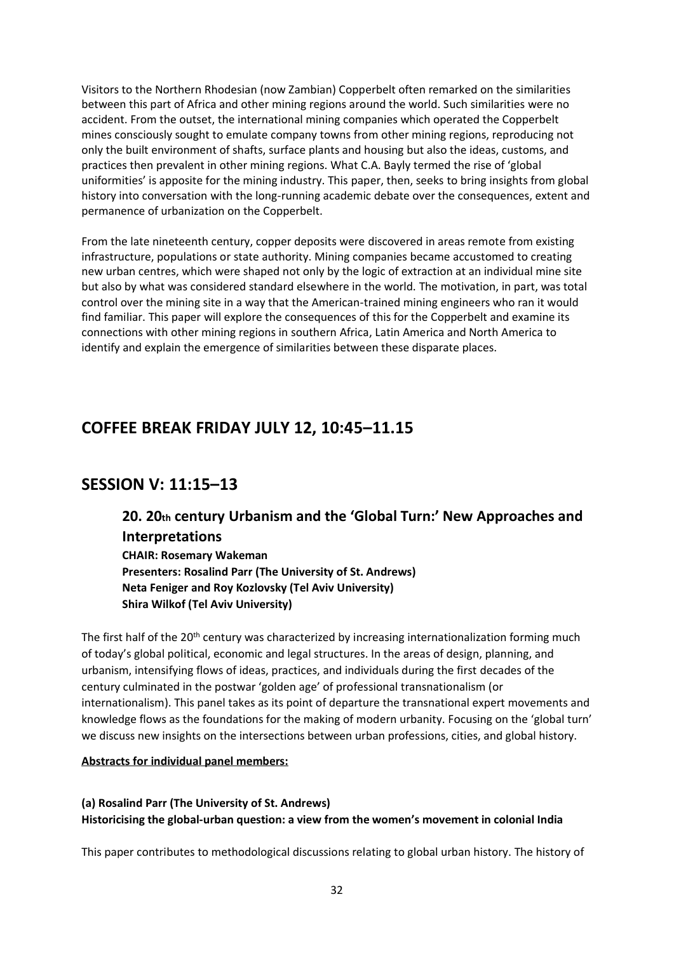Visitors to the Northern Rhodesian (now Zambian) Copperbelt often remarked on the similarities between this part of Africa and other mining regions around the world. Such similarities were no accident. From the outset, the international mining companies which operated the Copperbelt mines consciously sought to emulate company towns from other mining regions, reproducing not only the built environment of shafts, surface plants and housing but also the ideas, customs, and practices then prevalent in other mining regions. What C.A. Bayly termed the rise of 'global uniformities' is apposite for the mining industry. This paper, then, seeks to bring insights from global history into conversation with the long-running academic debate over the consequences, extent and permanence of urbanization on the Copperbelt.

From the late nineteenth century, copper deposits were discovered in areas remote from existing infrastructure, populations or state authority. Mining companies became accustomed to creating new urban centres, which were shaped not only by the logic of extraction at an individual mine site but also by what was considered standard elsewhere in the world. The motivation, in part, was total control over the mining site in a way that the American-trained mining engineers who ran it would find familiar. This paper will explore the consequences of this for the Copperbelt and examine its connections with other mining regions in southern Africa, Latin America and North America to identify and explain the emergence of similarities between these disparate places.

## **COFFEE BREAK FRIDAY JULY 12, 10:45–11.15**

## **SESSION V: 11:15–13**

# **20. 20th century Urbanism and the 'Global Turn:' New Approaches and Interpretations**

**CHAIR: Rosemary Wakeman Presenters: Rosalind Parr (The University of St. Andrews) Neta Feniger and Roy Kozlovsky (Tel Aviv University) Shira Wilkof (Tel Aviv University)**

The first half of the 20<sup>th</sup> century was characterized by increasing internationalization forming much of today's global political, economic and legal structures. In the areas of design, planning, and urbanism, intensifying flows of ideas, practices, and individuals during the first decades of the century culminated in the postwar 'golden age' of professional transnationalism (or internationalism). This panel takes as its point of departure the transnational expert movements and knowledge flows as the foundations for the making of modern urbanity. Focusing on the 'global turn' we discuss new insights on the intersections between urban professions, cities, and global history.

#### **Abstracts for individual panel members:**

## **(a) Rosalind Parr (The University of St. Andrews) Historicising the global-urban question: a view from the women's movement in colonial India**

This paper contributes to methodological discussions relating to global urban history. The history of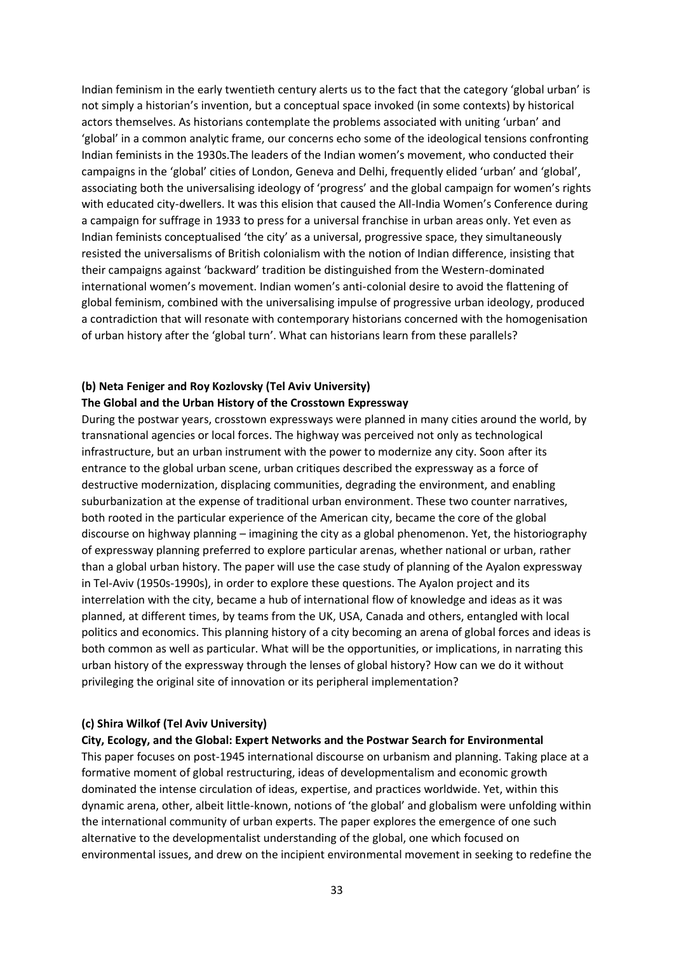Indian feminism in the early twentieth century alerts us to the fact that the category 'global urban' is not simply a historian's invention, but a conceptual space invoked (in some contexts) by historical actors themselves. As historians contemplate the problems associated with uniting 'urban' and 'global' in a common analytic frame, our concerns echo some of the ideological tensions confronting Indian feminists in the 1930s.The leaders of the Indian women's movement, who conducted their campaigns in the 'global' cities of London, Geneva and Delhi, frequently elided 'urban' and 'global', associating both the universalising ideology of 'progress' and the global campaign for women's rights with educated city-dwellers. It was this elision that caused the All-India Women's Conference during a campaign for suffrage in 1933 to press for a universal franchise in urban areas only. Yet even as Indian feminists conceptualised 'the city' as a universal, progressive space, they simultaneously resisted the universalisms of British colonialism with the notion of Indian difference, insisting that their campaigns against 'backward' tradition be distinguished from the Western-dominated international women's movement. Indian women's anti-colonial desire to avoid the flattening of global feminism, combined with the universalising impulse of progressive urban ideology, produced a contradiction that will resonate with contemporary historians concerned with the homogenisation of urban history after the 'global turn'. What can historians learn from these parallels?

## **(b) Neta Feniger and Roy Kozlovsky (Tel Aviv University) The Global and the Urban History of the Crosstown Expressway**

During the postwar years, crosstown expressways were planned in many cities around the world, by transnational agencies or local forces. The highway was perceived not only as technological infrastructure, but an urban instrument with the power to modernize any city. Soon after its entrance to the global urban scene, urban critiques described the expressway as a force of destructive modernization, displacing communities, degrading the environment, and enabling suburbanization at the expense of traditional urban environment. These two counter narratives, both rooted in the particular experience of the American city, became the core of the global discourse on highway planning – imagining the city as a global phenomenon. Yet, the historiography of expressway planning preferred to explore particular arenas, whether national or urban, rather than a global urban history. The paper will use the case study of planning of the Ayalon expressway in Tel-Aviv (1950s-1990s), in order to explore these questions. The Ayalon project and its interrelation with the city, became a hub of international flow of knowledge and ideas as it was planned, at different times, by teams from the UK, USA, Canada and others, entangled with local politics and economics. This planning history of a city becoming an arena of global forces and ideas is both common as well as particular. What will be the opportunities, or implications, in narrating this urban history of the expressway through the lenses of global history? How can we do it without privileging the original site of innovation or its peripheral implementation?

#### **(c) Shira Wilkof (Tel Aviv University)**

#### **City, Ecology, and the Global: Expert Networks and the Postwar Search for Environmental**

This paper focuses on post-1945 international discourse on urbanism and planning. Taking place at a formative moment of global restructuring, ideas of developmentalism and economic growth dominated the intense circulation of ideas, expertise, and practices worldwide. Yet, within this dynamic arena, other, albeit little-known, notions of 'the global' and globalism were unfolding within the international community of urban experts. The paper explores the emergence of one such alternative to the developmentalist understanding of the global, one which focused on environmental issues, and drew on the incipient environmental movement in seeking to redefine the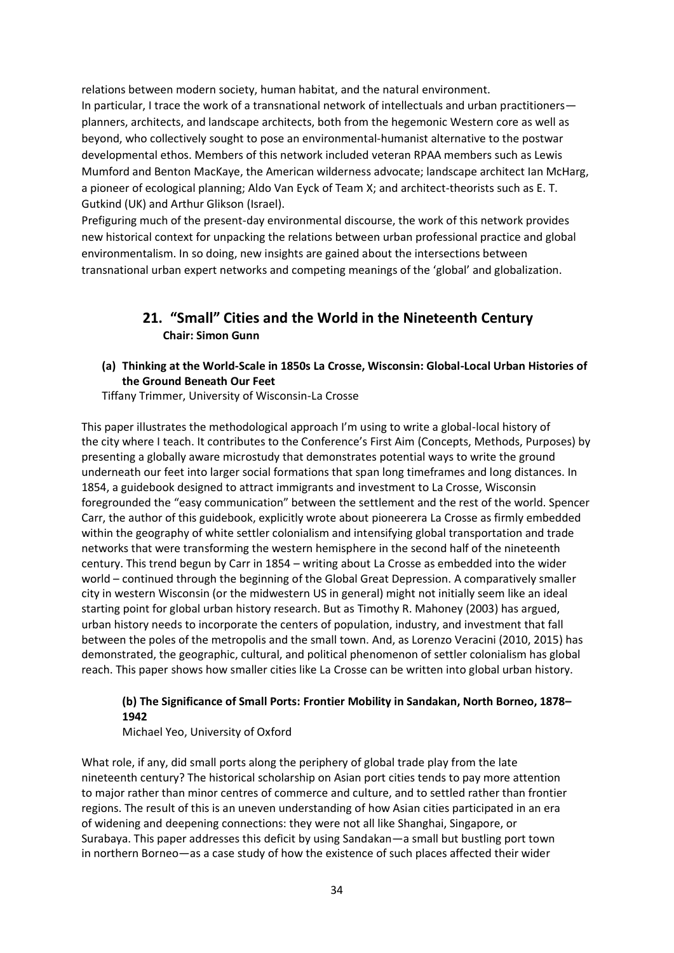relations between modern society, human habitat, and the natural environment. In particular, I trace the work of a transnational network of intellectuals and urban practitioners planners, architects, and landscape architects, both from the hegemonic Western core as well as beyond, who collectively sought to pose an environmental-humanist alternative to the postwar developmental ethos. Members of this network included veteran RPAA members such as Lewis Mumford and Benton MacKaye, the American wilderness advocate; landscape architect Ian McHarg, a pioneer of ecological planning; Aldo Van Eyck of Team X; and architect-theorists such as E. T. Gutkind (UK) and Arthur Glikson (Israel).

Prefiguring much of the present-day environmental discourse, the work of this network provides new historical context for unpacking the relations between urban professional practice and global environmentalism. In so doing, new insights are gained about the intersections between transnational urban expert networks and competing meanings of the 'global' and globalization.

## **21. "Small" Cities and the World in the Nineteenth Century Chair: Simon Gunn**

**(a) Thinking at the World-Scale in 1850s La Crosse, Wisconsin: Global-Local Urban Histories of the Ground Beneath Our Feet**

Tiffany Trimmer, University of Wisconsin-La Crosse

This paper illustrates the methodological approach I'm using to write a global-local history of the city where I teach. It contributes to the Conference's First Aim (Concepts, Methods, Purposes) by presenting a globally aware microstudy that demonstrates potential ways to write the ground underneath our feet into larger social formations that span long timeframes and long distances. In 1854, a guidebook designed to attract immigrants and investment to La Crosse, Wisconsin foregrounded the "easy communication" between the settlement and the rest of the world. Spencer Carr, the author of this guidebook, explicitly wrote about pioneerera La Crosse as firmly embedded within the geography of white settler colonialism and intensifying global transportation and trade networks that were transforming the western hemisphere in the second half of the nineteenth century. This trend begun by Carr in 1854 – writing about La Crosse as embedded into the wider world – continued through the beginning of the Global Great Depression. A comparatively smaller city in western Wisconsin (or the midwestern US in general) might not initially seem like an ideal starting point for global urban history research. But as Timothy R. Mahoney (2003) has argued, urban history needs to incorporate the centers of population, industry, and investment that fall between the poles of the metropolis and the small town. And, as Lorenzo Veracini (2010, 2015) has demonstrated, the geographic, cultural, and political phenomenon of settler colonialism has global reach. This paper shows how smaller cities like La Crosse can be written into global urban history.

## **(b) The Significance of Small Ports: Frontier Mobility in Sandakan, North Borneo, 1878– 1942**

Michael Yeo, University of Oxford

What role, if any, did small ports along the periphery of global trade play from the late nineteenth century? The historical scholarship on Asian port cities tends to pay more attention to major rather than minor centres of commerce and culture, and to settled rather than frontier regions. The result of this is an uneven understanding of how Asian cities participated in an era of widening and deepening connections: they were not all like Shanghai, Singapore, or Surabaya. This paper addresses this deficit by using Sandakan—a small but bustling port town in northern Borneo—as a case study of how the existence of such places affected their wider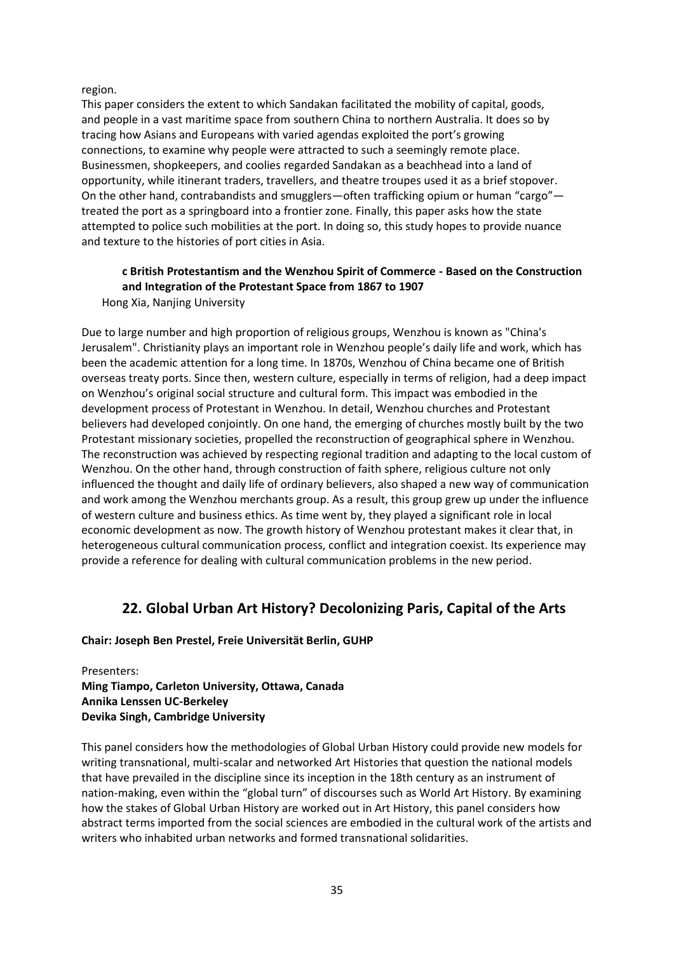region.

This paper considers the extent to which Sandakan facilitated the mobility of capital, goods, and people in a vast maritime space from southern China to northern Australia. It does so by tracing how Asians and Europeans with varied agendas exploited the port's growing connections, to examine why people were attracted to such a seemingly remote place. Businessmen, shopkeepers, and coolies regarded Sandakan as a beachhead into a land of opportunity, while itinerant traders, travellers, and theatre troupes used it as a brief stopover. On the other hand, contrabandists and smugglers—often trafficking opium or human "cargo" treated the port as a springboard into a frontier zone. Finally, this paper asks how the state attempted to police such mobilities at the port. In doing so, this study hopes to provide nuance and texture to the histories of port cities in Asia.

### **c British Protestantism and the Wenzhou Spirit of Commerce - Based on the Construction and Integration of the Protestant Space from 1867 to 1907** Hong Xia, Nanjing University

Due to large number and high proportion of religious groups, Wenzhou is known as "China's Jerusalem". Christianity plays an important role in Wenzhou people's daily life and work, which has been the academic attention for a long time. In 1870s, Wenzhou of China became one of British overseas treaty ports. Since then, western culture, especially in terms of religion, had a deep impact on Wenzhou's original social structure and cultural form. This impact was embodied in the development process of Protestant in Wenzhou. In detail, Wenzhou churches and Protestant believers had developed conjointly. On one hand, the emerging of churches mostly built by the two Protestant missionary societies, propelled the reconstruction of geographical sphere in Wenzhou. The reconstruction was achieved by respecting regional tradition and adapting to the local custom of Wenzhou. On the other hand, through construction of faith sphere, religious culture not only influenced the thought and daily life of ordinary believers, also shaped a new way of communication and work among the Wenzhou merchants group. As a result, this group grew up under the influence of western culture and business ethics. As time went by, they played a significant role in local economic development as now. The growth history of Wenzhou protestant makes it clear that, in heterogeneous cultural communication process, conflict and integration coexist. Its experience may provide a reference for dealing with cultural communication problems in the new period.

## **22. Global Urban Art History? Decolonizing Paris, Capital of the Arts**

## **Chair: Joseph Ben Prestel, Freie Universität Berlin, GUHP**

Presenters: **Ming Tiampo, Carleton University, Ottawa, Canada Annika Lenssen UC-Berkeley Devika Singh, Cambridge University**

This panel considers how the methodologies of Global Urban History could provide new models for writing transnational, multi-scalar and networked Art Histories that question the national models that have prevailed in the discipline since its inception in the 18th century as an instrument of nation-making, even within the "global turn" of discourses such as World Art History. By examining how the stakes of Global Urban History are worked out in Art History, this panel considers how abstract terms imported from the social sciences are embodied in the cultural work of the artists and writers who inhabited urban networks and formed transnational solidarities.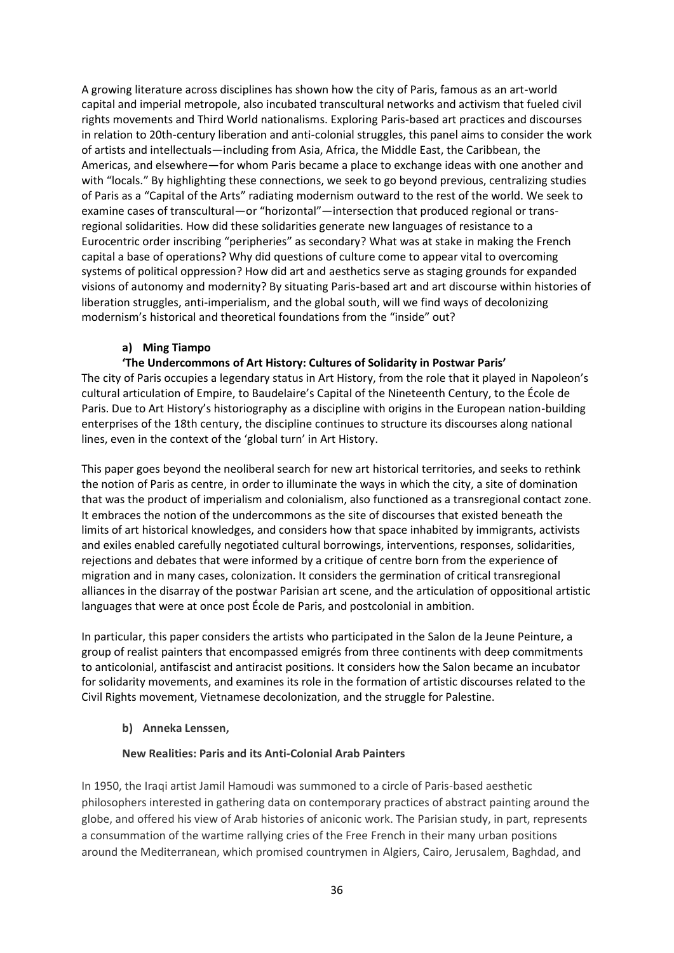A growing literature across disciplines has shown how the city of Paris, famous as an art-world capital and imperial metropole, also incubated transcultural networks and activism that fueled civil rights movements and Third World nationalisms. Exploring Paris-based art practices and discourses in relation to 20th-century liberation and anti-colonial struggles, this panel aims to consider the work of artists and intellectuals—including from Asia, Africa, the Middle East, the Caribbean, the Americas, and elsewhere—for whom Paris became a place to exchange ideas with one another and with "locals." By highlighting these connections, we seek to go beyond previous, centralizing studies of Paris as a "Capital of the Arts" radiating modernism outward to the rest of the world. We seek to examine cases of transcultural—or "horizontal"—intersection that produced regional or transregional solidarities. How did these solidarities generate new languages of resistance to a Eurocentric order inscribing "peripheries" as secondary? What was at stake in making the French capital a base of operations? Why did questions of culture come to appear vital to overcoming systems of political oppression? How did art and aesthetics serve as staging grounds for expanded visions of autonomy and modernity? By situating Paris-based art and art discourse within histories of liberation struggles, anti-imperialism, and the global south, will we find ways of decolonizing modernism's historical and theoretical foundations from the "inside" out?

## **a) Ming Tiampo**

## **'The Undercommons of Art History: Cultures of Solidarity in Postwar Paris'**

The city of Paris occupies a legendary status in Art History, from the role that it played in Napoleon's cultural articulation of Empire, to Baudelaire's Capital of the Nineteenth Century, to the École de Paris. Due to Art History's historiography as a discipline with origins in the European nation-building enterprises of the 18th century, the discipline continues to structure its discourses along national lines, even in the context of the 'global turn' in Art History.

This paper goes beyond the neoliberal search for new art historical territories, and seeks to rethink the notion of Paris as centre, in order to illuminate the ways in which the city, a site of domination that was the product of imperialism and colonialism, also functioned as a transregional contact zone. It embraces the notion of the undercommons as the site of discourses that existed beneath the limits of art historical knowledges, and considers how that space inhabited by immigrants, activists and exiles enabled carefully negotiated cultural borrowings, interventions, responses, solidarities, rejections and debates that were informed by a critique of centre born from the experience of migration and in many cases, colonization. It considers the germination of critical transregional alliances in the disarray of the postwar Parisian art scene, and the articulation of oppositional artistic languages that were at once post École de Paris, and postcolonial in ambition.

In particular, this paper considers the artists who participated in the Salon de la Jeune Peinture, a group of realist painters that encompassed emigrés from three continents with deep commitments to anticolonial, antifascist and antiracist positions. It considers how the Salon became an incubator for solidarity movements, and examines its role in the formation of artistic discourses related to the Civil Rights movement, Vietnamese decolonization, and the struggle for Palestine.

## **b) Anneka Lenssen,**

## **New Realities: Paris and its Anti-Colonial Arab Painters**

In 1950, the Iraqi artist Jamil Hamoudi was summoned to a circle of Paris-based aesthetic philosophers interested in gathering data on contemporary practices of abstract painting around the globe, and offered his view of Arab histories of aniconic work. The Parisian study, in part, represents a consummation of the wartime rallying cries of the Free French in their many urban positions around the Mediterranean, which promised countrymen in Algiers, Cairo, Jerusalem, Baghdad, and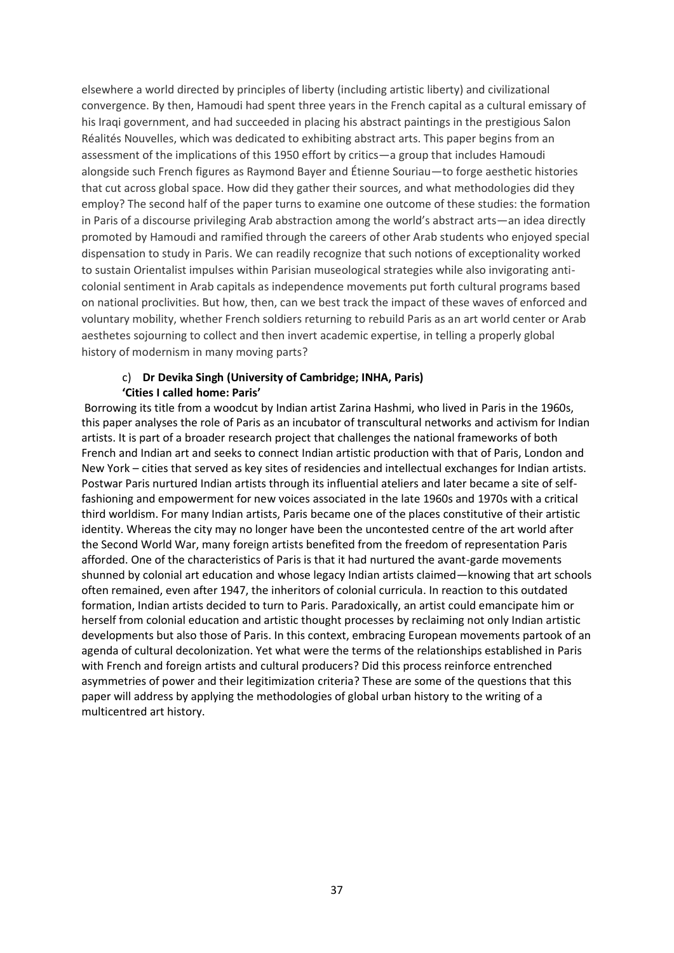elsewhere a world directed by principles of liberty (including artistic liberty) and civilizational convergence. By then, Hamoudi had spent three years in the French capital as a cultural emissary of his Iraqi government, and had succeeded in placing his abstract paintings in the prestigious Salon Réalités Nouvelles, which was dedicated to exhibiting abstract arts. This paper begins from an assessment of the implications of this 1950 effort by critics—a group that includes Hamoudi alongside such French figures as Raymond Bayer and Étienne Souriau—to forge aesthetic histories that cut across global space. How did they gather their sources, and what methodologies did they employ? The second half of the paper turns to examine one outcome of these studies: the formation in Paris of a discourse privileging Arab abstraction among the world's abstract arts—an idea directly promoted by Hamoudi and ramified through the careers of other Arab students who enjoyed special dispensation to study in Paris. We can readily recognize that such notions of exceptionality worked to sustain Orientalist impulses within Parisian museological strategies while also invigorating anticolonial sentiment in Arab capitals as independence movements put forth cultural programs based on national proclivities. But how, then, can we best track the impact of these waves of enforced and voluntary mobility, whether French soldiers returning to rebuild Paris as an art world center or Arab aesthetes sojourning to collect and then invert academic expertise, in telling a properly global history of modernism in many moving parts?

#### c) **Dr Devika Singh (University of Cambridge; INHA, Paris) 'Cities I called home: Paris'**

Borrowing its title from a woodcut by Indian artist Zarina Hashmi, who lived in Paris in the 1960s, this paper analyses the role of Paris as an incubator of transcultural networks and activism for Indian artists. It is part of a broader research project that challenges the national frameworks of both French and Indian art and seeks to connect Indian artistic production with that of Paris, London and New York – cities that served as key sites of residencies and intellectual exchanges for Indian artists. Postwar Paris nurtured Indian artists through its influential ateliers and later became a site of selffashioning and empowerment for new voices associated in the late 1960s and 1970s with a critical third worldism. For many Indian artists, Paris became one of the places constitutive of their artistic identity. Whereas the city may no longer have been the uncontested centre of the art world after the Second World War, many foreign artists benefited from the freedom of representation Paris afforded. One of the characteristics of Paris is that it had nurtured the avant-garde movements shunned by colonial art education and whose legacy Indian artists claimed—knowing that art schools often remained, even after 1947, the inheritors of colonial curricula. In reaction to this outdated formation, Indian artists decided to turn to Paris. Paradoxically, an artist could emancipate him or herself from colonial education and artistic thought processes by reclaiming not only Indian artistic developments but also those of Paris. In this context, embracing European movements partook of an agenda of cultural decolonization. Yet what were the terms of the relationships established in Paris with French and foreign artists and cultural producers? Did this process reinforce entrenched asymmetries of power and their legitimization criteria? These are some of the questions that this paper will address by applying the methodologies of global urban history to the writing of a multicentred art history.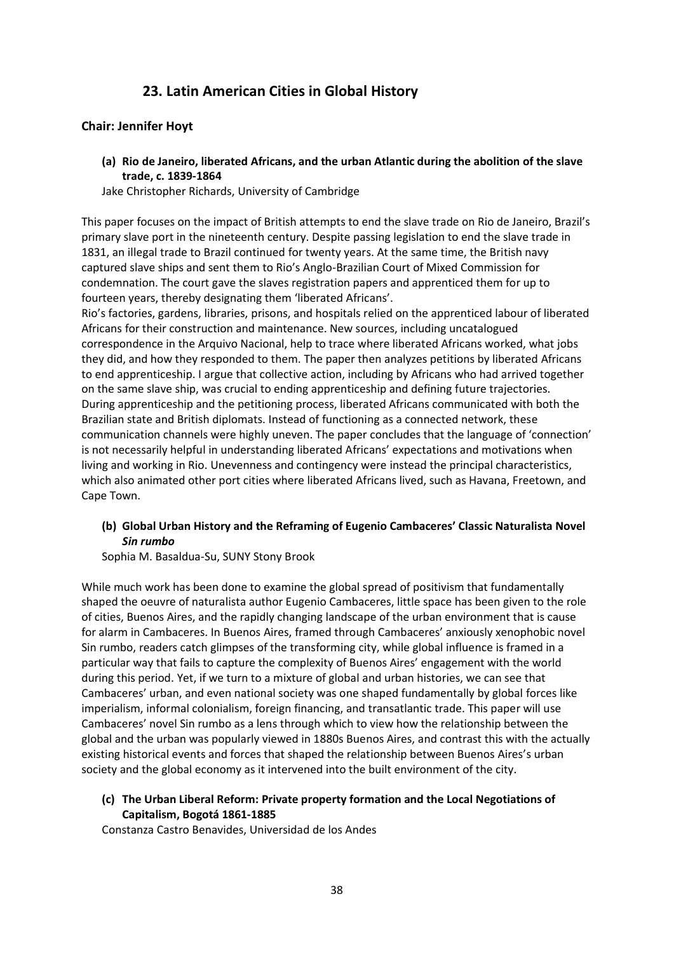## **23. Latin American Cities in Global History**

## **Chair: Jennifer Hoyt**

**(a) Rio de Janeiro, liberated Africans, and the urban Atlantic during the abolition of the slave trade, c. 1839-1864**

Jake Christopher Richards, University of Cambridge

This paper focuses on the impact of British attempts to end the slave trade on Rio de Janeiro, Brazil's primary slave port in the nineteenth century. Despite passing legislation to end the slave trade in 1831, an illegal trade to Brazil continued for twenty years. At the same time, the British navy captured slave ships and sent them to Rio's Anglo-Brazilian Court of Mixed Commission for condemnation. The court gave the slaves registration papers and apprenticed them for up to fourteen years, thereby designating them 'liberated Africans'.

Rio's factories, gardens, libraries, prisons, and hospitals relied on the apprenticed labour of liberated Africans for their construction and maintenance. New sources, including uncatalogued correspondence in the Arquivo Nacional, help to trace where liberated Africans worked, what jobs they did, and how they responded to them. The paper then analyzes petitions by liberated Africans to end apprenticeship. I argue that collective action, including by Africans who had arrived together on the same slave ship, was crucial to ending apprenticeship and defining future trajectories. During apprenticeship and the petitioning process, liberated Africans communicated with both the Brazilian state and British diplomats. Instead of functioning as a connected network, these communication channels were highly uneven. The paper concludes that the language of 'connection' is not necessarily helpful in understanding liberated Africans' expectations and motivations when living and working in Rio. Unevenness and contingency were instead the principal characteristics, which also animated other port cities where liberated Africans lived, such as Havana, Freetown, and Cape Town.

## **(b) Global Urban History and the Reframing of Eugenio Cambaceres' Classic Naturalista Novel**  *Sin rumbo*

Sophia M. Basaldua-Su, SUNY Stony Brook

While much work has been done to examine the global spread of positivism that fundamentally shaped the oeuvre of naturalista author Eugenio Cambaceres, little space has been given to the role of cities, Buenos Aires, and the rapidly changing landscape of the urban environment that is cause for alarm in Cambaceres. In Buenos Aires, framed through Cambaceres' anxiously xenophobic novel Sin rumbo, readers catch glimpses of the transforming city, while global influence is framed in a particular way that fails to capture the complexity of Buenos Aires' engagement with the world during this period. Yet, if we turn to a mixture of global and urban histories, we can see that Cambaceres' urban, and even national society was one shaped fundamentally by global forces like imperialism, informal colonialism, foreign financing, and transatlantic trade. This paper will use Cambaceres' novel Sin rumbo as a lens through which to view how the relationship between the global and the urban was popularly viewed in 1880s Buenos Aires, and contrast this with the actually existing historical events and forces that shaped the relationship between Buenos Aires's urban society and the global economy as it intervened into the built environment of the city.

## **(c) The Urban Liberal Reform: Private property formation and the Local Negotiations of Capitalism, Bogotá 1861-1885**

Constanza Castro Benavides, Universidad de los Andes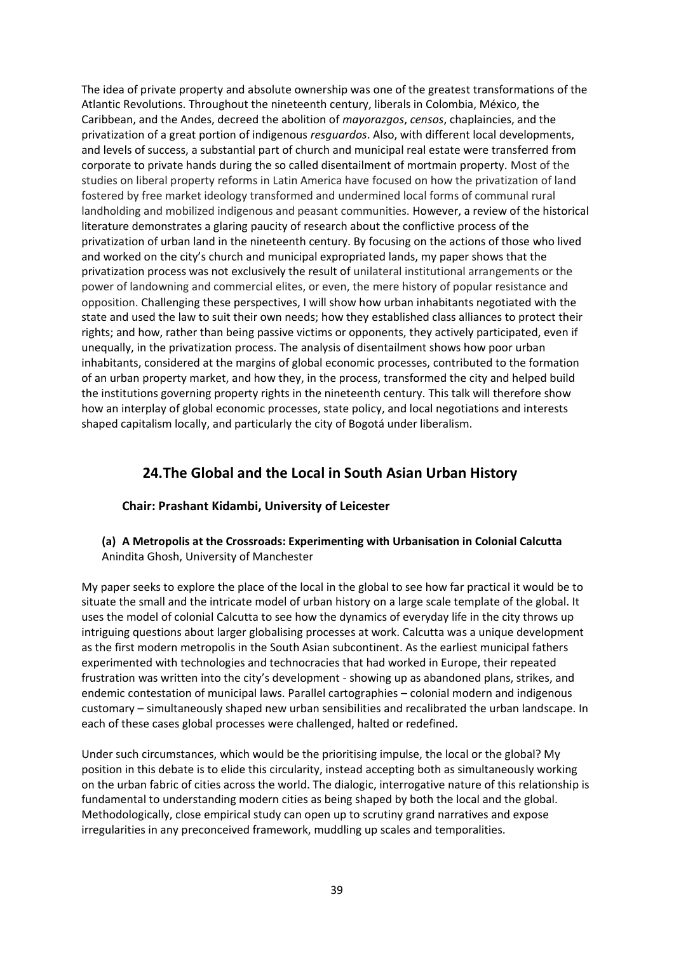The idea of private property and absolute ownership was one of the greatest transformations of the Atlantic Revolutions. Throughout the nineteenth century, liberals in Colombia, México, the Caribbean, and the Andes, decreed the abolition of *mayorazgos*, *censos*, chaplaincies, and the privatization of a great portion of indigenous *resguardos*. Also, with different local developments, and levels of success, a substantial part of church and municipal real estate were transferred from corporate to private hands during the so called disentailment of mortmain property. Most of the studies on liberal property reforms in Latin America have focused on how the privatization of land fostered by free market ideology transformed and undermined local forms of communal rural landholding and mobilized indigenous and peasant communities. However, a review of the historical literature demonstrates a glaring paucity of research about the conflictive process of the privatization of urban land in the nineteenth century. By focusing on the actions of those who lived and worked on the city's church and municipal expropriated lands, my paper shows that the privatization process was not exclusively the result of unilateral institutional arrangements or the power of landowning and commercial elites, or even, the mere history of popular resistance and opposition. Challenging these perspectives, I will show how urban inhabitants negotiated with the state and used the law to suit their own needs; how they established class alliances to protect their rights; and how, rather than being passive victims or opponents, they actively participated, even if unequally, in the privatization process. The analysis of disentailment shows how poor urban inhabitants, considered at the margins of global economic processes, contributed to the formation of an urban property market, and how they, in the process, transformed the city and helped build the institutions governing property rights in the nineteenth century. This talk will therefore show how an interplay of global economic processes, state policy, and local negotiations and interests shaped capitalism locally, and particularly the city of Bogotá under liberalism.

## **24.The Global and the Local in South Asian Urban History**

## **Chair: Prashant Kidambi, University of Leicester**

### **(a) A Metropolis at the Crossroads: Experimenting with Urbanisation in Colonial Calcutta**  Anindita Ghosh, University of Manchester

My paper seeks to explore the place of the local in the global to see how far practical it would be to situate the small and the intricate model of urban history on a large scale template of the global. It uses the model of colonial Calcutta to see how the dynamics of everyday life in the city throws up intriguing questions about larger globalising processes at work. Calcutta was a unique development as the first modern metropolis in the South Asian subcontinent. As the earliest municipal fathers experimented with technologies and technocracies that had worked in Europe, their repeated frustration was written into the city's development - showing up as abandoned plans, strikes, and endemic contestation of municipal laws. Parallel cartographies – colonial modern and indigenous customary – simultaneously shaped new urban sensibilities and recalibrated the urban landscape. In each of these cases global processes were challenged, halted or redefined.

Under such circumstances, which would be the prioritising impulse, the local or the global? My position in this debate is to elide this circularity, instead accepting both as simultaneously working on the urban fabric of cities across the world. The dialogic, interrogative nature of this relationship is fundamental to understanding modern cities as being shaped by both the local and the global. Methodologically, close empirical study can open up to scrutiny grand narratives and expose irregularities in any preconceived framework, muddling up scales and temporalities.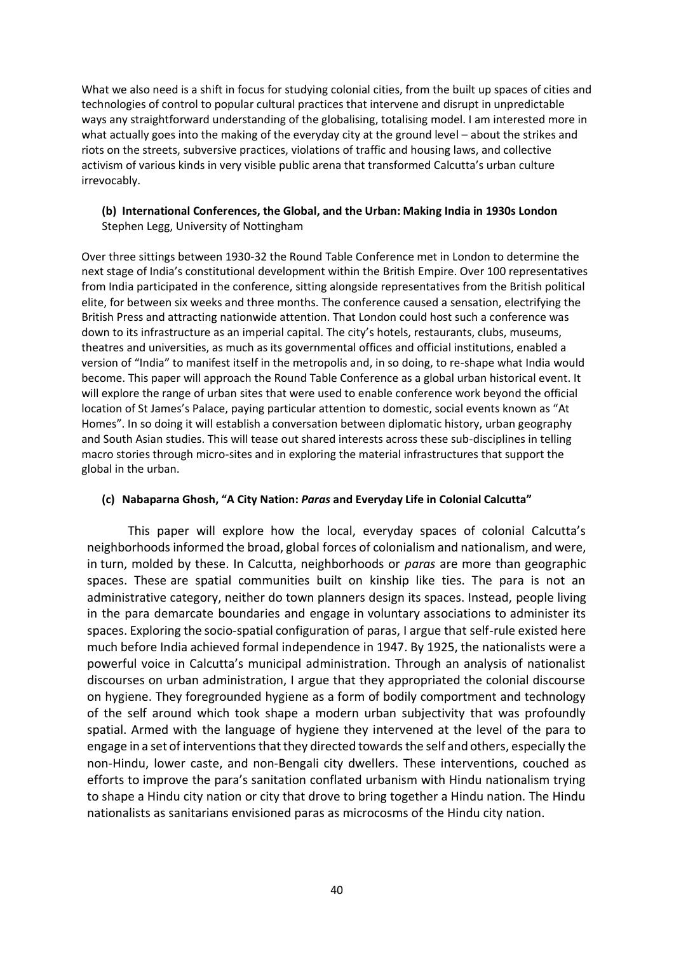What we also need is a shift in focus for studying colonial cities, from the built up spaces of cities and technologies of control to popular cultural practices that intervene and disrupt in unpredictable ways any straightforward understanding of the globalising, totalising model. I am interested more in what actually goes into the making of the everyday city at the ground level – about the strikes and riots on the streets, subversive practices, violations of traffic and housing laws, and collective activism of various kinds in very visible public arena that transformed Calcutta's urban culture irrevocably.

## **(b) International Conferences, the Global, and the Urban: Making India in 1930s London** Stephen Legg, University of Nottingham

Over three sittings between 1930-32 the Round Table Conference met in London to determine the next stage of India's constitutional development within the British Empire. Over 100 representatives from India participated in the conference, sitting alongside representatives from the British political elite, for between six weeks and three months. The conference caused a sensation, electrifying the British Press and attracting nationwide attention. That London could host such a conference was down to its infrastructure as an imperial capital. The city's hotels, restaurants, clubs, museums, theatres and universities, as much as its governmental offices and official institutions, enabled a version of "India" to manifest itself in the metropolis and, in so doing, to re-shape what India would become. This paper will approach the Round Table Conference as a global urban historical event. It will explore the range of urban sites that were used to enable conference work beyond the official location of St James's Palace, paying particular attention to domestic, social events known as "At Homes". In so doing it will establish a conversation between diplomatic history, urban geography and South Asian studies. This will tease out shared interests across these sub-disciplines in telling macro stories through micro-sites and in exploring the material infrastructures that support the global in the urban.

## **(c) Nabaparna Ghosh, "A City Nation:** *Paras* **and Everyday Life in Colonial Calcutta"**

This paper will explore how the local, everyday spaces of colonial Calcutta's neighborhoods informed the broad, global forces of colonialism and nationalism, and were, in turn, molded by these. In Calcutta, neighborhoods or *paras* are more than geographic spaces. These are spatial communities built on kinship like ties. The para is not an administrative category, neither do town planners design its spaces. Instead, people living in the para demarcate boundaries and engage in voluntary associations to administer its spaces. Exploring the socio-spatial configuration of paras, I argue that self-rule existed here much before India achieved formal independence in 1947. By 1925, the nationalists were a powerful voice in Calcutta's municipal administration. Through an analysis of nationalist discourses on urban administration, I argue that they appropriated the colonial discourse on hygiene. They foregrounded hygiene as a form of bodily comportment and technology of the self around which took shape a modern urban subjectivity that was profoundly spatial. Armed with the language of hygiene they intervened at the level of the para to engage in a set of interventions that they directed towards the self and others, especially the non-Hindu, lower caste, and non-Bengali city dwellers. These interventions, couched as efforts to improve the para's sanitation conflated urbanism with Hindu nationalism trying to shape a Hindu city nation or city that drove to bring together a Hindu nation. The Hindu nationalists as sanitarians envisioned paras as microcosms of the Hindu city nation.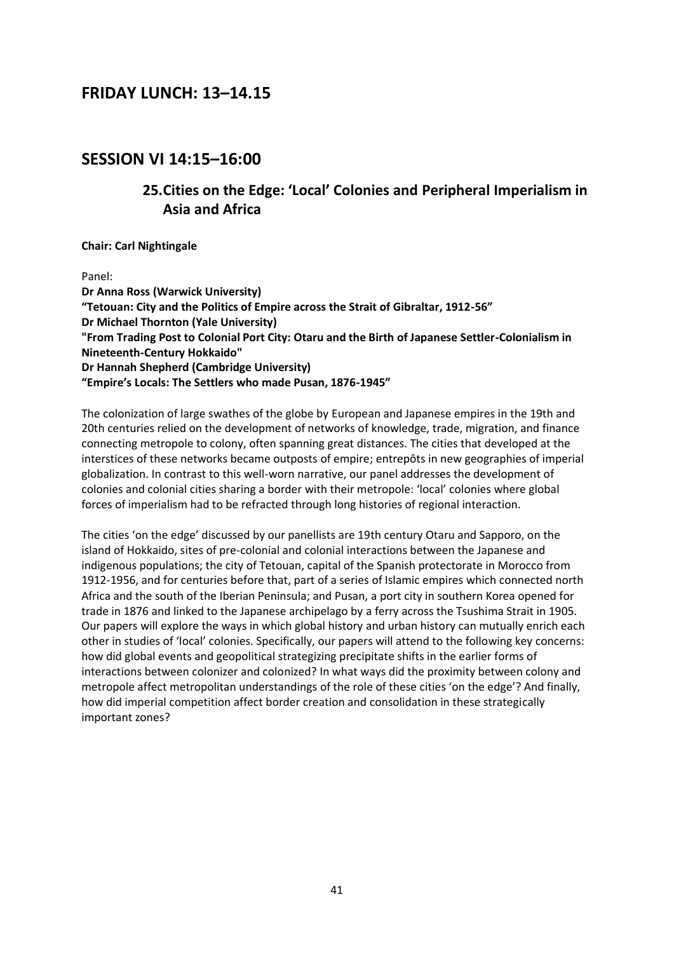## **FRIDAY LUNCH: 13–14.15**

# **SESSION VI 14:15–16:00**

# **25.Cities on the Edge: 'Local' Colonies and Peripheral Imperialism in Asia and Africa**

**Chair: Carl Nightingale**

Panel:

**Dr Anna Ross (Warwick University) "Tetouan: City and the Politics of Empire across the Strait of Gibraltar, 1912-56" Dr Michael Thornton (Yale University) "From Trading Post to Colonial Port City: Otaru and the Birth of Japanese Settler-Colonialism in Nineteenth-Century Hokkaido" Dr Hannah Shepherd (Cambridge University) "Empire's Locals: The Settlers who made Pusan, 1876-1945"**

The colonization of large swathes of the globe by European and Japanese empires in the 19th and 20th centuries relied on the development of networks of knowledge, trade, migration, and finance connecting metropole to colony, often spanning great distances. The cities that developed at the interstices of these networks became outposts of empire; entrepôts in new geographies of imperial globalization. In contrast to this well-worn narrative, our panel addresses the development of colonies and colonial cities sharing a border with their metropole: 'local' colonies where global forces of imperialism had to be refracted through long histories of regional interaction.

The cities 'on the edge' discussed by our panellists are 19th century Otaru and Sapporo, on the island of Hokkaido, sites of pre-colonial and colonial interactions between the Japanese and indigenous populations; the city of Tetouan, capital of the Spanish protectorate in Morocco from 1912-1956, and for centuries before that, part of a series of Islamic empires which connected north Africa and the south of the Iberian Peninsula; and Pusan, a port city in southern Korea opened for trade in 1876 and linked to the Japanese archipelago by a ferry across the Tsushima Strait in 1905. Our papers will explore the ways in which global history and urban history can mutually enrich each other in studies of 'local' colonies. Specifically, our papers will attend to the following key concerns: how did global events and geopolitical strategizing precipitate shifts in the earlier forms of interactions between colonizer and colonized? In what ways did the proximity between colony and metropole affect metropolitan understandings of the role of these cities 'on the edge'? And finally, how did imperial competition affect border creation and consolidation in these strategically important zones?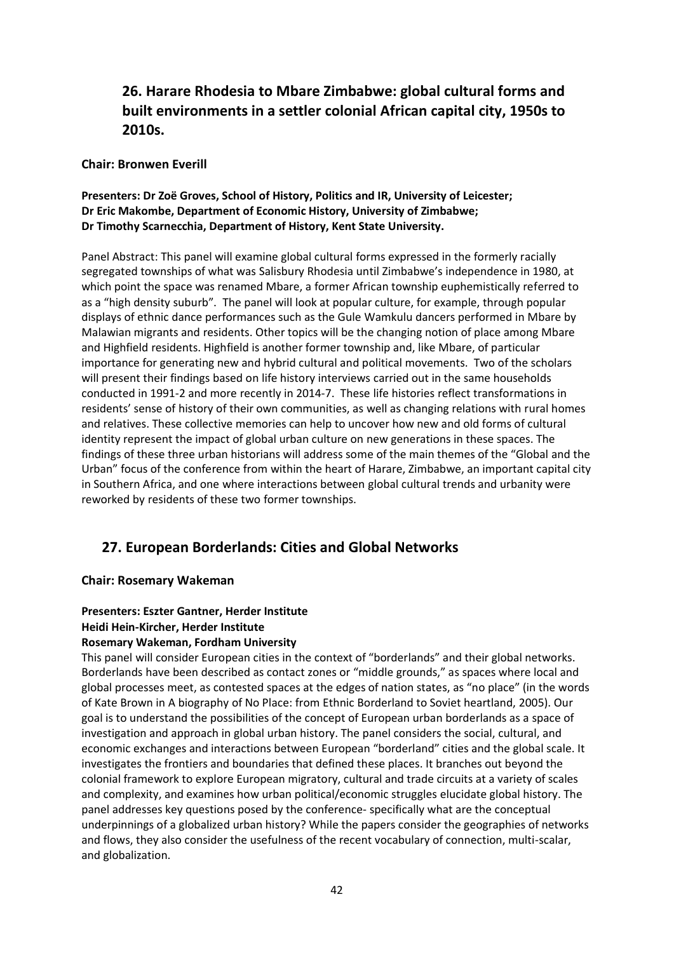## **26. Harare Rhodesia to Mbare Zimbabwe: global cultural forms and built environments in a settler colonial African capital city, 1950s to 2010s.**

### **Chair: Bronwen Everill**

## **Presenters: Dr Zoë Groves, School of History, Politics and IR, University of Leicester; Dr Eric Makombe, Department of Economic History, University of Zimbabwe; Dr Timothy Scarnecchia, Department of History, Kent State University.**

Panel Abstract: This panel will examine global cultural forms expressed in the formerly racially segregated townships of what was Salisbury Rhodesia until Zimbabwe's independence in 1980, at which point the space was renamed Mbare, a former African township euphemistically referred to as a "high density suburb". The panel will look at popular culture, for example, through popular displays of ethnic dance performances such as the Gule Wamkulu dancers performed in Mbare by Malawian migrants and residents. Other topics will be the changing notion of place among Mbare and Highfield residents. Highfield is another former township and, like Mbare, of particular importance for generating new and hybrid cultural and political movements. Two of the scholars will present their findings based on life history interviews carried out in the same households conducted in 1991-2 and more recently in 2014-7. These life histories reflect transformations in residents' sense of history of their own communities, as well as changing relations with rural homes and relatives. These collective memories can help to uncover how new and old forms of cultural identity represent the impact of global urban culture on new generations in these spaces. The findings of these three urban historians will address some of the main themes of the "Global and the Urban" focus of the conference from within the heart of Harare, Zimbabwe, an important capital city in Southern Africa, and one where interactions between global cultural trends and urbanity were reworked by residents of these two former townships.

## **27. European Borderlands: Cities and Global Networks**

## **Chair: Rosemary Wakeman**

# **Presenters: Eszter Gantner, Herder Institute**

## **Heidi Hein-Kircher, Herder Institute**

#### **Rosemary Wakeman, Fordham University**

This panel will consider European cities in the context of "borderlands" and their global networks. Borderlands have been described as contact zones or "middle grounds," as spaces where local and global processes meet, as contested spaces at the edges of nation states, as "no place" (in the words of Kate Brown in A biography of No Place: from Ethnic Borderland to Soviet heartland, 2005). Our goal is to understand the possibilities of the concept of European urban borderlands as a space of investigation and approach in global urban history. The panel considers the social, cultural, and economic exchanges and interactions between European "borderland" cities and the global scale. It investigates the frontiers and boundaries that defined these places. It branches out beyond the colonial framework to explore European migratory, cultural and trade circuits at a variety of scales and complexity, and examines how urban political/economic struggles elucidate global history. The panel addresses key questions posed by the conference- specifically what are the conceptual underpinnings of a globalized urban history? While the papers consider the geographies of networks and flows, they also consider the usefulness of the recent vocabulary of connection, multi-scalar, and globalization.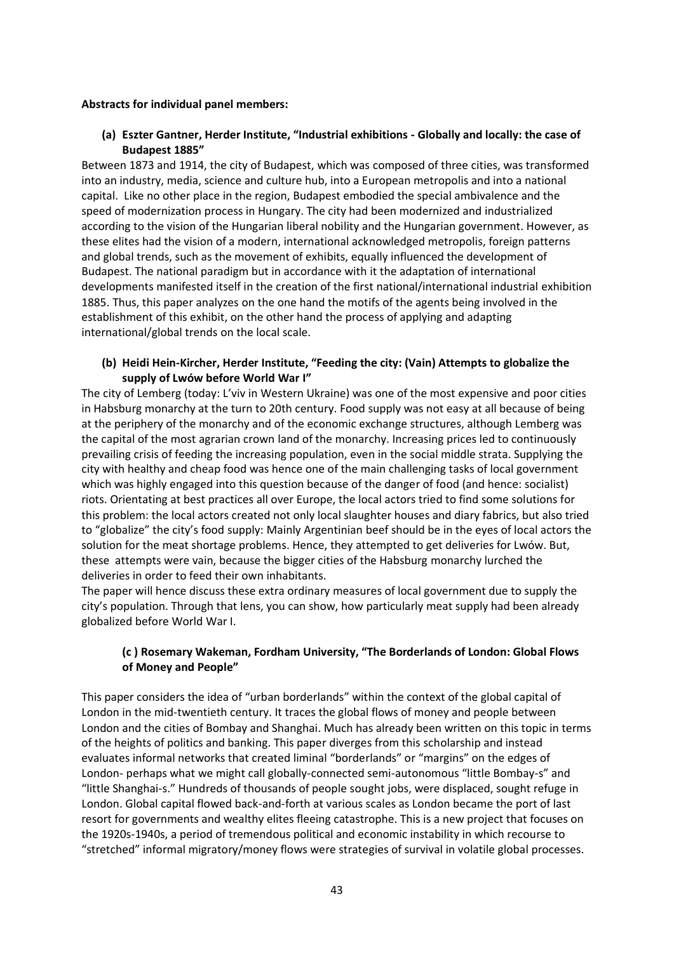#### **Abstracts for individual panel members:**

### **(a) Eszter Gantner, Herder Institute, "Industrial exhibitions - Globally and locally: the case of Budapest 1885"**

Between 1873 and 1914, the city of Budapest, which was composed of three cities, was transformed into an industry, media, science and culture hub, into a European metropolis and into a national capital. Like no other place in the region, Budapest embodied the special ambivalence and the speed of modernization process in Hungary. The city had been modernized and industrialized according to the vision of the Hungarian liberal nobility and the Hungarian government. However, as these elites had the vision of a modern, international acknowledged metropolis, foreign patterns and global trends, such as the movement of exhibits, equally influenced the development of Budapest. The national paradigm but in accordance with it the adaptation of international developments manifested itself in the creation of the first national/international industrial exhibition 1885. Thus, this paper analyzes on the one hand the motifs of the agents being involved in the establishment of this exhibit, on the other hand the process of applying and adapting international/global trends on the local scale.

#### **(b) Heidi Hein-Kircher, Herder Institute, "Feeding the city: (Vain) Attempts to globalize the supply of Lwów before World War I"**

The city of Lemberg (today: L'viv in Western Ukraine) was one of the most expensive and poor cities in Habsburg monarchy at the turn to 20th century. Food supply was not easy at all because of being at the periphery of the monarchy and of the economic exchange structures, although Lemberg was the capital of the most agrarian crown land of the monarchy. Increasing prices led to continuously prevailing crisis of feeding the increasing population, even in the social middle strata. Supplying the city with healthy and cheap food was hence one of the main challenging tasks of local government which was highly engaged into this question because of the danger of food (and hence: socialist) riots. Orientating at best practices all over Europe, the local actors tried to find some solutions for this problem: the local actors created not only local slaughter houses and diary fabrics, but also tried to "globalize" the city's food supply: Mainly Argentinian beef should be in the eyes of local actors the solution for the meat shortage problems. Hence, they attempted to get deliveries for Lwów. But, these attempts were vain, because the bigger cities of the Habsburg monarchy lurched the deliveries in order to feed their own inhabitants.

The paper will hence discuss these extra ordinary measures of local government due to supply the city's population. Through that lens, you can show, how particularly meat supply had been already globalized before World War I.

### **(c ) Rosemary Wakeman, Fordham University, "The Borderlands of London: Global Flows of Money and People"**

This paper considers the idea of "urban borderlands" within the context of the global capital of London in the mid-twentieth century. It traces the global flows of money and people between London and the cities of Bombay and Shanghai. Much has already been written on this topic in terms of the heights of politics and banking. This paper diverges from this scholarship and instead evaluates informal networks that created liminal "borderlands" or "margins" on the edges of London- perhaps what we might call globally-connected semi-autonomous "little Bombay-s" and "little Shanghai-s." Hundreds of thousands of people sought jobs, were displaced, sought refuge in London. Global capital flowed back-and-forth at various scales as London became the port of last resort for governments and wealthy elites fleeing catastrophe. This is a new project that focuses on the 1920s-1940s, a period of tremendous political and economic instability in which recourse to "stretched" informal migratory/money flows were strategies of survival in volatile global processes.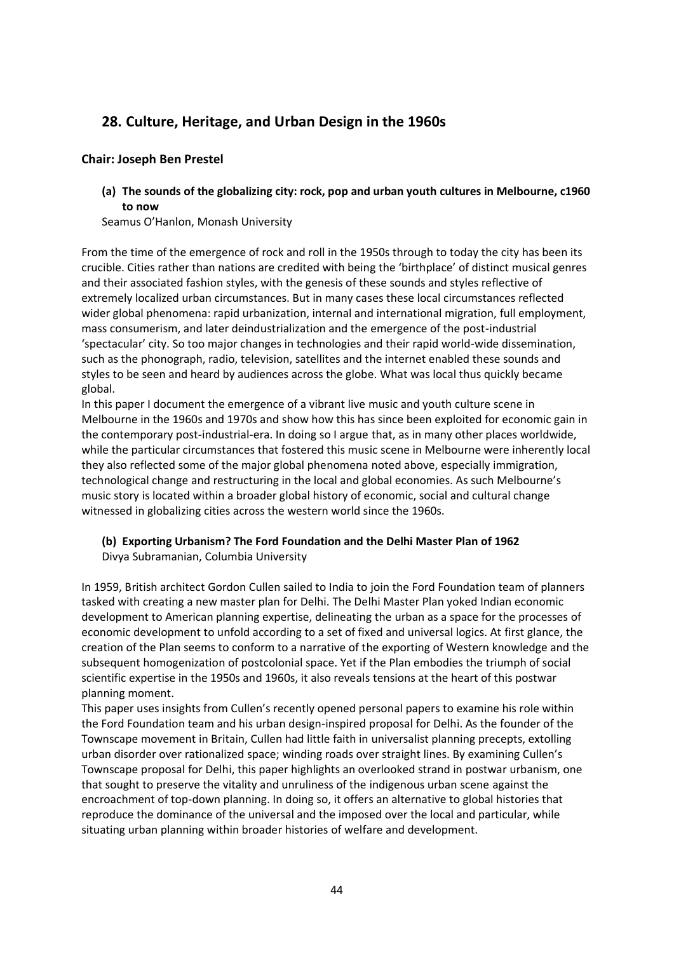## **28. Culture, Heritage, and Urban Design in the 1960s**

## **Chair: Joseph Ben Prestel**

**(a) The sounds of the globalizing city: rock, pop and urban youth cultures in Melbourne, c1960 to now** 

Seamus O'Hanlon, Monash University

From the time of the emergence of rock and roll in the 1950s through to today the city has been its crucible. Cities rather than nations are credited with being the 'birthplace' of distinct musical genres and their associated fashion styles, with the genesis of these sounds and styles reflective of extremely localized urban circumstances. But in many cases these local circumstances reflected wider global phenomena: rapid urbanization, internal and international migration, full employment, mass consumerism, and later deindustrialization and the emergence of the post-industrial 'spectacular' city. So too major changes in technologies and their rapid world-wide dissemination, such as the phonograph, radio, television, satellites and the internet enabled these sounds and styles to be seen and heard by audiences across the globe. What was local thus quickly became global.

In this paper I document the emergence of a vibrant live music and youth culture scene in Melbourne in the 1960s and 1970s and show how this has since been exploited for economic gain in the contemporary post-industrial-era. In doing so I argue that, as in many other places worldwide, while the particular circumstances that fostered this music scene in Melbourne were inherently local they also reflected some of the major global phenomena noted above, especially immigration, technological change and restructuring in the local and global economies. As such Melbourne's music story is located within a broader global history of economic, social and cultural change witnessed in globalizing cities across the western world since the 1960s.

# **(b) Exporting Urbanism? The Ford Foundation and the Delhi Master Plan of 1962**

Divya Subramanian, Columbia University

In 1959, British architect Gordon Cullen sailed to India to join the Ford Foundation team of planners tasked with creating a new master plan for Delhi. The Delhi Master Plan yoked Indian economic development to American planning expertise, delineating the urban as a space for the processes of economic development to unfold according to a set of fixed and universal logics. At first glance, the creation of the Plan seems to conform to a narrative of the exporting of Western knowledge and the subsequent homogenization of postcolonial space. Yet if the Plan embodies the triumph of social scientific expertise in the 1950s and 1960s, it also reveals tensions at the heart of this postwar planning moment.

This paper uses insights from Cullen's recently opened personal papers to examine his role within the Ford Foundation team and his urban design-inspired proposal for Delhi. As the founder of the Townscape movement in Britain, Cullen had little faith in universalist planning precepts, extolling urban disorder over rationalized space; winding roads over straight lines. By examining Cullen's Townscape proposal for Delhi, this paper highlights an overlooked strand in postwar urbanism, one that sought to preserve the vitality and unruliness of the indigenous urban scene against the encroachment of top-down planning. In doing so, it offers an alternative to global histories that reproduce the dominance of the universal and the imposed over the local and particular, while situating urban planning within broader histories of welfare and development.